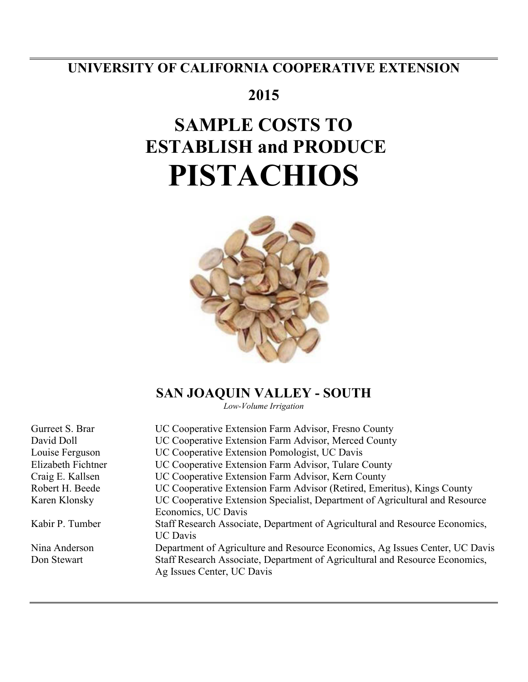# **UNIVERSITY OF CALIFORNIA COOPERATIVE EXTENSION**

# **2015**

# **SAMPLE COSTS TO ESTABLISH and PRODUCE PISTACHIOS**



# **SAN JOAQUIN VALLEY - SOUTH**

*Low-Volume Irrigation*

| Gurreet S. Brar    | UC Cooperative Extension Farm Advisor, Fresno County                         |
|--------------------|------------------------------------------------------------------------------|
| David Doll         | UC Cooperative Extension Farm Advisor, Merced County                         |
| Louise Ferguson    | UC Cooperative Extension Pomologist, UC Davis                                |
| Elizabeth Fichtner | UC Cooperative Extension Farm Advisor, Tulare County                         |
| Craig E. Kallsen   | UC Cooperative Extension Farm Advisor, Kern County                           |
| Robert H. Beede    | UC Cooperative Extension Farm Advisor (Retired, Emeritus), Kings County      |
| Karen Klonsky      | UC Cooperative Extension Specialist, Department of Agricultural and Resource |
|                    | Economics, UC Davis                                                          |
| Kabir P. Tumber    | Staff Research Associate, Department of Agricultural and Resource Economics, |
|                    | <b>UC</b> Davis                                                              |
| Nina Anderson      | Department of Agriculture and Resource Economics, Ag Issues Center, UC Davis |
| Don Stewart        | Staff Research Associate, Department of Agricultural and Resource Economics, |
|                    | Ag Issues Center, UC Davis                                                   |
|                    |                                                                              |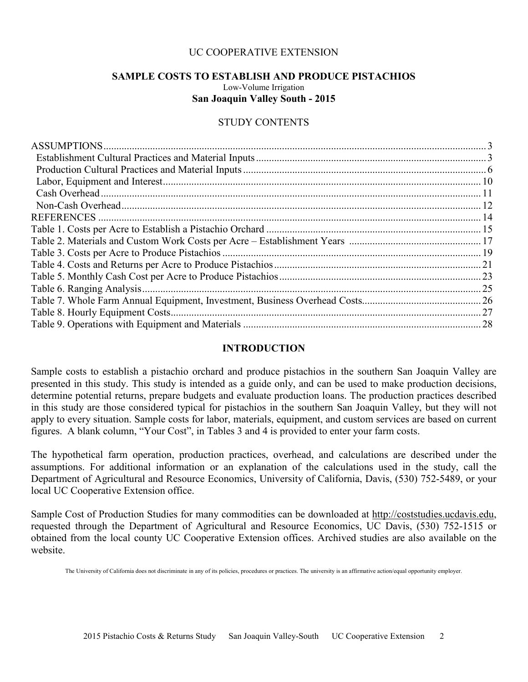# UC COOPERATIVE EXTENSION

# **SAMPLE COSTS TO ESTABLISH AND PRODUCE PISTACHIOS**

Low-Volume Irrigation **San Joaquin Valley South - 2015** 

# STUDY CONTENTS

| <b>REFERENCES</b> |     |
|-------------------|-----|
|                   |     |
|                   |     |
|                   |     |
|                   |     |
|                   |     |
|                   | .25 |
|                   |     |
|                   |     |
|                   | .28 |

# **INTRODUCTION**

Sample costs to establish a pistachio orchard and produce pistachios in the southern San Joaquin Valley are presented in this study. This study is intended as a guide only, and can be used to make production decisions, determine potential returns, prepare budgets and evaluate production loans. The production practices described in this study are those considered typical for pistachios in the southern San Joaquin Valley, but they will not apply to every situation. Sample costs for labor, materials, equipment, and custom services are based on current figures. A blank column, "Your Cost", in Tables 3 and 4 is provided to enter your farm costs.

The hypothetical farm operation, production practices, overhead, and calculations are described under the assumptions. For additional information or an explanation of the calculations used in the study, call the Department of Agricultural and Resource Economics, University of California, Davis, (530) 752-5489, or your local UC Cooperative Extension office.

Sample Cost of Production Studies for many commodities can be downloaded at http://coststudies.ucdavis.edu, requested through the Department of Agricultural and Resource Economics, UC Davis, (530) 752-1515 or obtained from the local county UC Cooperative Extension offices. Archived studies are also available on the website.

The University of California does not discriminate in any of its policies, procedures or practices. The university is an affirmative action/equal opportunity employer.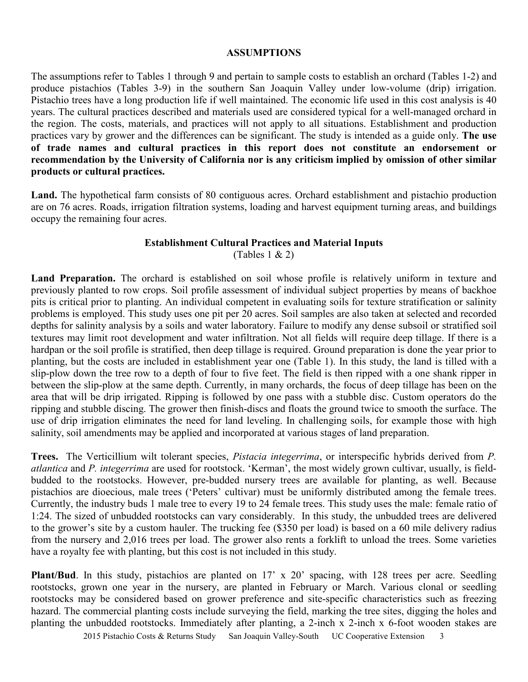# **ASSUMPTIONS**

The assumptions refer to Tables 1 through 9 and pertain to sample costs to establish an orchard (Tables 1-2) and produce pistachios (Tables 3-9) in the southern San Joaquin Valley under low-volume (drip) irrigation. Pistachio trees have a long production life if well maintained. The economic life used in this cost analysis is 40 years. The cultural practices described and materials used are considered typical for a well-managed orchard in the region. The costs, materials, and practices will not apply to all situations. Establishment and production practices vary by grower and the differences can be significant. The study is intended as a guide only. **The use of trade names and cultural practices in this report does not constitute an endorsement or recommendation by the University of California nor is any criticism implied by omission of other similar products or cultural practices.**

Land. The hypothetical farm consists of 80 contiguous acres. Orchard establishment and pistachio production are on 76 acres. Roads, irrigation filtration systems, loading and harvest equipment turning areas, and buildings occupy the remaining four acres.

# **Establishment Cultural Practices and Material Inputs**

(Tables 1  $& 2)$ )

Land Preparation. The orchard is established on soil whose profile is relatively uniform in texture and previously planted to row crops. Soil profile assessment of individual subject properties by means of backhoe pits is critical prior to planting. An individual competent in evaluating soils for texture stratification or salinity problems is employed. This study uses one pit per 20 acres. Soil samples are also taken at selected and recorded depths for salinity analysis by a soils and water laboratory. Failure to modify any dense subsoil or stratified soil textures may limit root development and water infiltration. Not all fields will require deep tillage. If there is a hardpan or the soil profile is stratified, then deep tillage is required. Ground preparation is done the year prior to planting, but the costs are included in establishment year one (Table 1). In this study, the land is tilled with a slip-plow down the tree row to a depth of four to five feet. The field is then ripped with a one shank ripper in between the slip-plow at the same depth. Currently, in many orchards, the focus of deep tillage has been on the area that will be drip irrigated. Ripping is followed by one pass with a stubble disc. Custom operators do the ripping and stubble discing. The grower then finish-discs and floats the ground twice to smooth the surface. The use of drip irrigation eliminates the need for land leveling. In challenging soils, for example those with high salinity, soil amendments may be applied and incorporated at various stages of land preparation.

**Trees.** The Verticillium wilt tolerant species, *Pistacia integerrima*, or interspecific hybrids derived from *P. atlantica* and *P. integerrima* are used for rootstock. 'Kerman', the most widely grown cultivar, usually, is fieldbudded to the rootstocks. However, pre-budded nursery trees are available for planting, as well. Because pistachios are dioecious, male trees ('Peters' cultivar) must be uniformly distributed among the female trees. Currently, the industry buds 1 male tree to every 19 to 24 female trees. This study uses the male: female ratio of 1:24. The sized of unbudded rootstocks can vary considerably. In this study, the unbudded trees are delivered to the grower's site by a custom hauler. The trucking fee (\$350 per load) is based on a 60 mile delivery radius from the nursery and 2,016 trees per load. The grower also rents a forklift to unload the trees. Some varieties have a royalty fee with planting, but this cost is not included in this study.

**Plant/Bud**. In this study, pistachios are planted on 17' x 20' spacing, with 128 trees per acre. Seedling rootstocks, grown one year in the nursery, are planted in February or March. Various clonal or seedling rootstocks may be considered based on grower preference and site-specific characteristics such as freezing hazard. The commercial planting costs include surveying the field, marking the tree sites, digging the holes and planting the unbudded rootstocks. Immediately after planting, a 2-inch x 2-inch x 6-foot wooden stakes are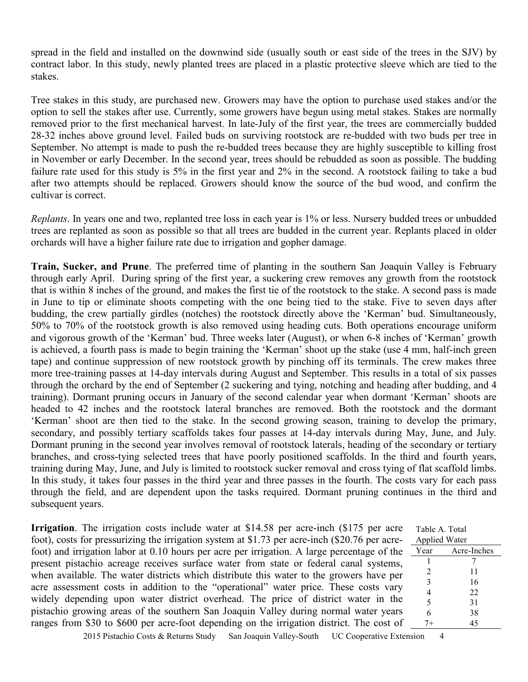spread in the field and installed on the downwind side (usually south or east side of the trees in the SJV) by contract labor. In this study, newly planted trees are placed in a plastic protective sleeve which are tied to the stakes.

Tree stakes in this study, are purchased new. Growers may have the option to purchase used stakes and/or the option to sell the stakes after use. Currently, some growers have begun using metal stakes. Stakes are normally removed prior to the first mechanical harvest. In late-July of the first year, the trees are commercially budded 28-32 inches above ground level. Failed buds on surviving rootstock are re-budded with two buds per tree in September. No attempt is made to push the re-budded trees because they are highly susceptible to killing frost in November or early December. In the second year, trees should be rebudded as soon as possible. The budding failure rate used for this study is 5% in the first year and 2% in the second. A rootstock failing to take a bud after two attempts should be replaced. Growers should know the source of the bud wood, and confirm the cultivar is correct.

*Replants*. In years one and two, replanted tree loss in each year is 1% or less. Nursery budded trees or unbudded trees are replanted as soon as possible so that all trees are budded in the current year. Replants placed in older orchards will have a higher failure rate due to irrigation and gopher damage.

**Train, Sucker, and Prune**. The preferred time of planting in the southern San Joaquin Valley is February through early April. During spring of the first year, a suckering crew removes any growth from the rootstock that is within 8 inches of the ground, and makes the first tie of the rootstock to the stake. A second pass is made in June to tip or eliminate shoots competing with the one being tied to the stake. Five to seven days after budding, the crew partially girdles (notches) the rootstock directly above the 'Kerman' bud. Simultaneously, 50% to 70% of the rootstock growth is also removed using heading cuts. Both operations encourage uniform and vigorous growth of the 'Kerman' bud. Three weeks later (August), or when 6-8 inches of 'Kerman' growth is achieved, a fourth pass is made to begin training the 'Kerman' shoot up the stake (use 4 mm, half-inch green tape) and continue suppression of new rootstock growth by pinching off its terminals. The crew makes three more tree-training passes at 14-day intervals during August and September. This results in a total of six passes through the orchard by the end of September (2 suckering and tying, notching and heading after budding, and 4 training). Dormant pruning occurs in January of the second calendar year when dormant 'Kerman' shoots are headed to 42 inches and the rootstock lateral branches are removed. Both the rootstock and the dormant 'Kerman' shoot are then tied to the stake. In the second growing season, training to develop the primary, secondary, and possibly tertiary scaffolds takes four passes at 14-day intervals during May, June, and July. Dormant pruning in the second year involves removal of rootstock laterals, heading of the secondary or tertiary branches, and cross-tying selected trees that have poorly positioned scaffolds. In the third and fourth years, training during May, June, and July is limited to rootstock sucker removal and cross tying of flat scaffold limbs. In this study, it takes four passes in the third year and three passes in the fourth. The costs vary for each pass through the field, and are dependent upon the tasks required. Dormant pruning continues in the third and subsequent years.

**Irrigation**. The irrigation costs include water at \$14.58 per acre-inch (\$175 per acre foot), costs for pressurizing the irrigation system at \$1.73 per acre-inch (\$20.76 per acrefoot) and irrigation labor at 0.10 hours per acre per irrigation. A large percentage of the present pistachio acreage receives surface water from state or federal canal systems, when available. The water districts which distribute this water to the growers have per acre assessment costs in addition to the "operational" water price. These costs vary widely depending upon water district overhead. The price of district water in the pistachio growing areas of the southern San Joaquin Valley during normal water years ranges from \$30 to \$600 per acre-foot depending on the irrigation district. The cost of

| Table A. Total       |             |
|----------------------|-------------|
| <b>Applied Water</b> |             |
| Year                 | Acre-Inches |
|                      |             |
| 2                    | 11          |
| 3                    | 16          |
| 4                    | 22          |
| 5                    | 31          |
| 6                    | 38          |
|                      | 45          |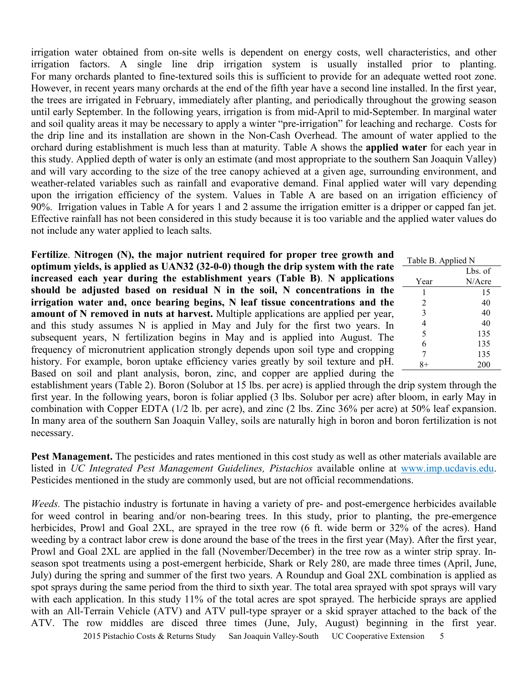irrigation water obtained from on-site wells is dependent on energy costs, well characteristics, and other irrigation factors. A single line drip irrigation system is usually installed prior to planting. For many orchards planted to fine-textured soils this is sufficient to provide for an adequate wetted root zone. However, in recent years many orchards at the end of the fifth year have a second line installed. In the first year, the trees are irrigated in February, immediately after planting, and periodically throughout the growing season until early September. In the following years, irrigation is from mid-April to mid-September. In marginal water and soil quality areas it may be necessary to apply a winter "pre-irrigation" for leaching and recharge. Costs for the drip line and its installation are shown in the Non-Cash Overhead. The amount of water applied to the orchard during establishment is much less than at maturity. Table A shows the **applied water** for each year in this study. Applied depth of water is only an estimate (and most appropriate to the southern San Joaquin Valley) and will vary according to the size of the tree canopy achieved at a given age, surrounding environment, and weather-related variables such as rainfall and evaporative demand. Final applied water will vary depending upon the irrigation efficiency of the system. Values in Table A are based on an irrigation efficiency of 90%. Irrigation values in Table A for years 1 and 2 assume the irrigation emitter is a dripper or capped fan jet. Effective rainfall has not been considered in this study because it is too variable and the applied water values do not include any water applied to leach salts.

**Fertilize**. **Nitrogen (N), the major nutrient required for proper tree growth and optimum yields, is applied as UAN32 (32-0-0) though the drip system with the rate increased each year during the establishment years (Table B)**. **N applications should be adjusted based on residual N in the soil, N concentrations in the irrigation water and, once bearing begins, N leaf tissue concentrations and the amount of N removed in nuts at harvest.** Multiple applications are applied per year, and this study assumes N is applied in May and July for the first two years. In subsequent years, N fertilization begins in May and is applied into August. The frequency of micronutrient application strongly depends upon soil type and cropping history. For example, boron uptake efficiency varies greatly by soil texture and pH. Based on soil and plant analysis, boron, zinc, and copper are applied during the

| а.           | Table B. Applied N       |         |
|--------------|--------------------------|---------|
| $\mathbf{r}$ |                          | Lbs. of |
| Ŝ            | Year                     | N/Acre  |
| ë            | 1                        | 15      |
| ë            | 2                        | 40      |
| ,            | 3                        | 40      |
| ı            | $\overline{\mathcal{L}}$ | 40      |
| $\mathbf{r}$ | $\frac{5}{6}$            | 135     |
|              |                          | 135     |
| z            | 7                        | 135     |
|              |                          | 200     |
|              |                          |         |

establishment years (Table 2). Boron (Solubor at 15 lbs. per acre) is applied through the drip system through the first year. In the following years, boron is foliar applied (3 lbs. Solubor per acre) after bloom, in early May in combination with Copper EDTA (1/2 lb. per acre), and zinc (2 lbs. Zinc 36% per acre) at 50% leaf expansion. In many area of the southern San Joaquin Valley, soils are naturally high in boron and boron fertilization is not necessary.

**Pest Management.** The pesticides and rates mentioned in this cost study as well as other materials available are listed in *UC Integrated Pest Management Guidelines, Pistachios* available online at www.imp.ucdavis.edu. Pesticides mentioned in the study are commonly used, but are not official recommendations.

*Weeds.* The pistachio industry is fortunate in having a variety of pre- and post-emergence herbicides available for weed control in bearing and/or non-bearing trees. In this study, prior to planting, the pre-emergence herbicides, Prowl and Goal 2XL, are sprayed in the tree row (6 ft. wide berm or 32% of the acres). Hand weeding by a contract labor crew is done around the base of the trees in the first year (May). After the first year, Prowl and Goal 2XL are applied in the fall (November/December) in the tree row as a winter strip spray. Inseason spot treatments using a post-emergent herbicide, Shark or Rely 280, are made three times (April, June, July) during the spring and summer of the first two years. A Roundup and Goal 2XL combination is applied as spot sprays during the same period from the third to sixth year. The total area sprayed with spot sprays will vary with each application. In this study 11% of the total acres are spot sprayed. The herbicide sprays are applied with an All-Terrain Vehicle (ATV) and ATV pull-type sprayer or a skid sprayer attached to the back of the ATV. The row middles are disced three times (June, July, August) beginning in the first year.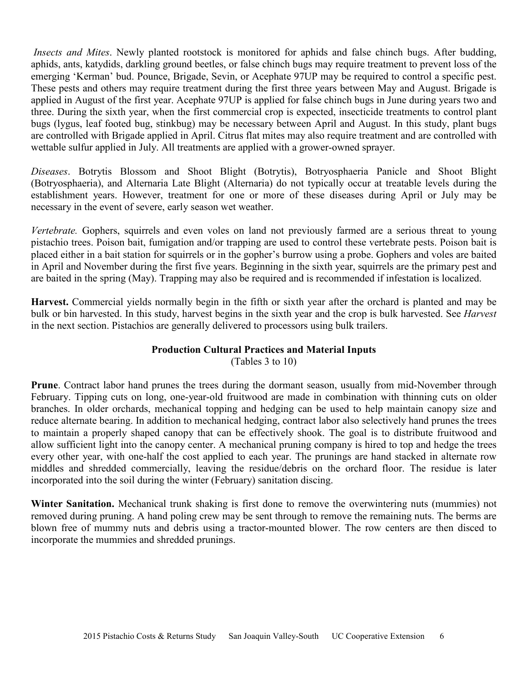*Insects and Mites*. Newly planted rootstock is monitored for aphids and false chinch bugs. After budding, aphids, ants, katydids, darkling ground beetles, or false chinch bugs may require treatment to prevent loss of the emerging 'Kerman' bud. Pounce, Brigade, Sevin, or Acephate 97UP may be required to control a specific pest. These pests and others may require treatment during the first three years between May and August. Brigade is applied in August of the first year. Acephate 97UP is applied for false chinch bugs in June during years two and three. During the sixth year, when the first commercial crop is expected, insecticide treatments to control plant bugs (lygus, leaf footed bug, stinkbug) may be necessary between April and August. In this study, plant bugs are controlled with Brigade applied in April. Citrus flat mites may also require treatment and are controlled with wettable sulfur applied in July. All treatments are applied with a grower-owned sprayer.

*Diseases*. Botrytis Blossom and Shoot Blight (Botrytis), Botryosphaeria Panicle and Shoot Blight (Botryosphaeria), and Alternaria Late Blight (Alternaria) do not typically occur at treatable levels during the establishment years. However, treatment for one or more of these diseases during April or July may be necessary in the event of severe, early season wet weather.

*Vertebrate.* Gophers, squirrels and even voles on land not previously farmed are a serious threat to young pistachio trees. Poison bait, fumigation and/or trapping are used to control these vertebrate pests. Poison bait is placed either in a bait station for squirrels or in the gopher's burrow using a probe. Gophers and voles are baited in April and November during the first five years. Beginning in the sixth year, squirrels are the primary pest and are baited in the spring (May). Trapping may also be required and is recommended if infestation is localized.

**Harvest.** Commercial yields normally begin in the fifth or sixth year after the orchard is planted and may be bulk or bin harvested. In this study, harvest begins in the sixth year and the crop is bulk harvested. See *Harvest* in the next section. Pistachios are generally delivered to processors using bulk trailers.

# **Production Cultural Practices and Material Inputs**

(Tables 3 to 10)

**Prune**. Contract labor hand prunes the trees during the dormant season, usually from mid-November through February. Tipping cuts on long, one-year-old fruitwood are made in combination with thinning cuts on older branches. In older orchards, mechanical topping and hedging can be used to help maintain canopy size and reduce alternate bearing. In addition to mechanical hedging, contract labor also selectively hand prunes the trees to maintain a properly shaped canopy that can be effectively shook. The goal is to distribute fruitwood and allow sufficient light into the canopy center. A mechanical pruning company is hired to top and hedge the trees every other year, with one-half the cost applied to each year. The prunings are hand stacked in alternate row middles and shredded commercially, leaving the residue/debris on the orchard floor. The residue is later incorporated into the soil during the winter (February) sanitation discing.

**Winter Sanitation.** Mechanical trunk shaking is first done to remove the overwintering nuts (mummies) not removed during pruning. A hand poling crew may be sent through to remove the remaining nuts. The berms are blown free of mummy nuts and debris using a tractor-mounted blower. The row centers are then disced to incorporate the mummies and shredded prunings.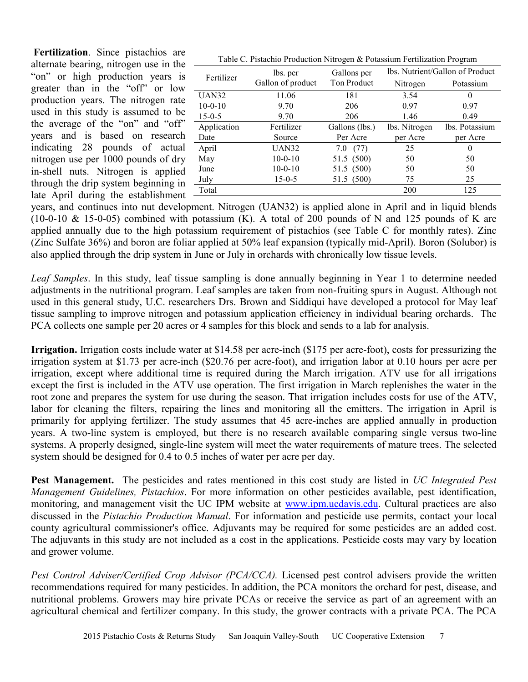**Fertilization**. Since pistachios are alternate bearing, nitrogen use in the "on" or high production years is greater than in the "off" or low production years. The nitrogen rate used in this study is assumed to be the average of the "on" and "off" years and is based on research indicating 28 pounds of actual nitrogen use per 1000 pounds of dry in-shell nuts. Nitrogen is applied through the drip system beginning in late April during the establishment

| Table C. Pistachio Production Nitrogen & Potassium Fertilization Program |  |
|--------------------------------------------------------------------------|--|
|--------------------------------------------------------------------------|--|

|              |                   | ັ              |                                      |                |  |  |  |
|--------------|-------------------|----------------|--------------------------------------|----------------|--|--|--|
| Fertilizer   | lbs. per          | Gallons per    | lbs. Nutrient/Gallon of Product      |                |  |  |  |
|              | Gallon of product |                | Ton Product<br>Nitrogen<br>Potassium |                |  |  |  |
| <b>UAN32</b> | 11.06             | 181            | 3.54                                 | $\theta$       |  |  |  |
| $10-0-10$    | 9.70              | 206            | 0.97                                 | 0.97           |  |  |  |
| $15 - 0.5$   | 9.70              | 206            | 1.46                                 | 0.49           |  |  |  |
| Application  | Fertilizer        | Gallons (lbs.) | lbs. Nitrogen                        | lbs. Potassium |  |  |  |
| Date         | Source            | Per Acre       | per Acre                             | per Acre       |  |  |  |
| April        | <b>UAN32</b>      | (77)<br>7.0    | 25                                   | $\theta$       |  |  |  |
| May          | $10-0-10$         | 51.5 (500)     | 50                                   | 50             |  |  |  |
| June         | $10-0-10$         | 51.5 (500)     | 50                                   | 50             |  |  |  |
| July         | $15 - 0 - 5$      | 51.5 (500)     | 75                                   | 25             |  |  |  |
| Total        |                   |                | 200                                  | 125            |  |  |  |
|              |                   |                |                                      |                |  |  |  |

years, and continues into nut development. Nitrogen (UAN32) is applied alone in April and in liquid blends (10-0-10  $\&$  15-0-05) combined with potassium (K). A total of 200 pounds of N and 125 pounds of K are applied annually due to the high potassium requirement of pistachios (see Table C for monthly rates). Zinc (Zinc Sulfate 36%) and boron are foliar applied at 50% leaf expansion (typically mid-April). Boron (Solubor) is also applied through the drip system in June or July in orchards with chronically low tissue levels.

*Leaf Samples*. In this study, leaf tissue sampling is done annually beginning in Year 1 to determine needed adjustments in the nutritional program. Leaf samples are taken from non-fruiting spurs in August. Although not used in this general study, U.C. researchers Drs. Brown and Siddiqui have developed a protocol for May leaf tissue sampling to improve nitrogen and potassium application efficiency in individual bearing orchards. The PCA collects one sample per 20 acres or 4 samples for this block and sends to a lab for analysis.

**Irrigation.** Irrigation costs include water at \$14.58 per acre-inch (\$175 per acre-foot), costs for pressurizing the irrigation system at \$1.73 per acre-inch (\$20.76 per acre-foot), and irrigation labor at 0.10 hours per acre per irrigation, except where additional time is required during the March irrigation. ATV use for all irrigations except the first is included in the ATV use operation. The first irrigation in March replenishes the water in the root zone and prepares the system for use during the season. That irrigation includes costs for use of the ATV, labor for cleaning the filters, repairing the lines and monitoring all the emitters. The irrigation in April is primarily for applying fertilizer. The study assumes that 45 acre-inches are applied annually in production years. A two-line system is employed, but there is no research available comparing single versus two-line systems. A properly designed, single-line system will meet the water requirements of mature trees. The selected system should be designed for 0.4 to 0.5 inches of water per acre per day.

**Pest Management.** The pesticides and rates mentioned in this cost study are listed in *UC Integrated Pest Management Guidelines, Pistachios*. For more information on other pesticides available, pest identification, monitoring, and management visit the UC IPM website at www.ipm.ucdavis.edu. Cultural practices are also discussed in the *Pistachio Production Manual*. For information and pesticide use permits, contact your local county agricultural commissioner's office. Adjuvants may be required for some pesticides are an added cost. The adjuvants in this study are not included as a cost in the applications. Pesticide costs may vary by location and grower volume.

*Pest Control Adviser/Certified Crop Advisor (PCA/CCA).* Licensed pest control advisers provide the written recommendations required for many pesticides. In addition, the PCA monitors the orchard for pest, disease, and nutritional problems. Growers may hire private PCAs or receive the service as part of an agreement with an agricultural chemical and fertilizer company. In this study, the grower contracts with a private PCA. The PCA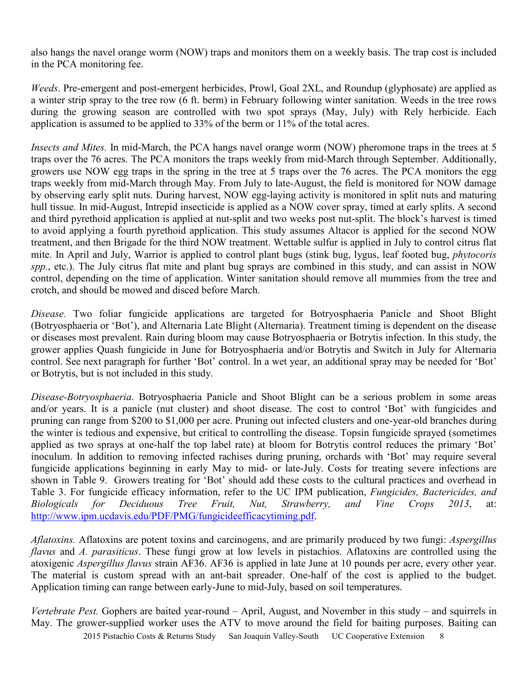also hangs the navel orange worm (NOW) traps and monitors them on a weekly basis. The trap cost is included in the PCA monitoring fee.

*Weeds*. Pre-emergent and post-emergent herbicides, Prowl, Goal 2XL, and Roundup (glyphosate) are applied as a winter strip spray to the tree row (6 ft. berm) in February following winter sanitation. Weeds in the tree rows during the growing season are controlled with two spot sprays (May, July) with Rely herbicide. Each application is assumed to be applied to 33% of the berm or 11% of the total acres.

*Insects and Mites.* In mid-March, the PCA hangs navel orange worm (NOW) pheromone traps in the trees at 5 traps over the 76 acres. The PCA monitors the traps weekly from mid-March through September. Additionally, growers use NOW egg traps in the spring in the tree at 5 traps over the 76 acres. The PCA monitors the egg traps weekly from mid-March through May. From July to late-August, the field is monitored for NOW damage by observing early split nuts. During harvest, NOW egg-laying activity is monitored in split nuts and maturing hull tissue. In mid-August, Intrepid insecticide is applied as a NOW cover spray, timed at early splits. A second and third pyrethoid application is applied at nut-split and two weeks post nut-split. The block's harvest is timed to avoid applying a fourth pyrethoid application. This study assumes Altacor is applied for the second NOW treatment, and then Brigade for the third NOW treatment. Wettable sulfur is applied in July to control citrus flat mite. In April and July, Warrior is applied to control plant bugs (stink bug, lygus, leaf footed bug, *phytocoris spp.*, etc.). The July citrus flat mite and plant bug sprays are combined in this study, and can assist in NOW control, depending on the time of application. Winter sanitation should remove all mummies from the tree and crotch, and should be mowed and disced before March.

*Disease.* Two foliar fungicide applications are targeted for Botryosphaeria Panicle and Shoot Blight (Botryosphaeria or 'Bot'), and Alternaria Late Blight (Alternaria). Treatment timing is dependent on the disease or diseases most prevalent. Rain during bloom may cause Botryosphaeria or Botrytis infection. In this study, the grower applies Quash fungicide in June for Botryosphaeria and/or Botrytis and Switch in July for Alternaria control. See next paragraph for further 'Bot' control. In a wet year, an additional spray may be needed for 'Bot' or Botrytis, but is not included in this study.

*Disease-Botryosphaeria*. Botryosphaeria Panicle and Shoot Blight can be a serious problem in some areas and/or years. It is a panicle (nut cluster) and shoot disease. The cost to control 'Bot' with fungicides and pruning can range from \$200 to \$1,000 per acre. Pruning out infected clusters and one-year-old branches during the winter is tedious and expensive, but critical to controlling the disease. Topsin fungicide sprayed (sometimes applied as two sprays at one-half the top label rate) at bloom for Botrytis control reduces the primary 'Bot' inoculum. In addition to removing infected rachises during pruning, orchards with 'Bot' may require several fungicide applications beginning in early May to mid- or late-July. Costs for treating severe infections are shown in Table 9. Growers treating for 'Bot' should add these costs to the cultural practices and overhead in Table 3. For fungicide efficacy information, refer to the UC IPM publication, *Fungicides, Bactericides, and Biologicals for Deciduous Tree Fruit, Nut, Strawberry, and Vine Crops 2013*, at: http://www.ipm.ucdavis.edu/PDF/PMG/fungicideefficacytiming.pdf.

*Aflatoxins.* Aflatoxins are potent toxins and carcinogens, and are primarily produced by two fungi: *Aspergillus flavus* and *A. parasiticus*. These fungi grow at low levels in pistachios. Aflatoxins are controlled using the atoxigenic *Aspergillus flavus* strain AF36. AF36 is applied in late June at 10 pounds per acre, every other year. The material is custom spread with an ant-bait spreader. One-half of the cost is applied to the budget. Application timing can range between early-June to mid-July, based on soil temperatures.

2015 Pistachio Costs & Returns Study San Joaquin Valley-South UC Cooperative Extension 8 *Vertebrate Pest.* Gophers are baited year-round – April, August, and November in this study – and squirrels in May. The grower-supplied worker uses the ATV to move around the field for baiting purposes. Baiting can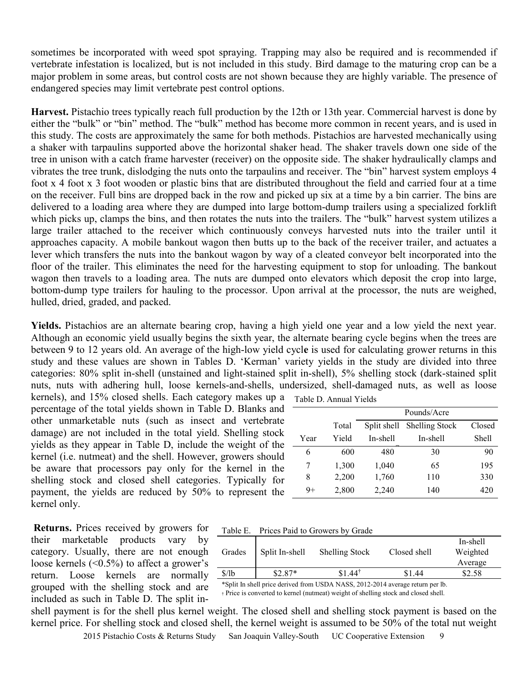sometimes be incorporated with weed spot spraying. Trapping may also be required and is recommended if vertebrate infestation is localized, but is not included in this study. Bird damage to the maturing crop can be a major problem in some areas, but control costs are not shown because they are highly variable. The presence of endangered species may limit vertebrate pest control options.

**Harvest.** Pistachio trees typically reach full production by the 12th or 13th year. Commercial harvest is done by either the "bulk" or "bin" method. The "bulk" method has become more common in recent years, and is used in this study. The costs are approximately the same for both methods. Pistachios are harvested mechanically using a shaker with tarpaulins supported above the horizontal shaker head. The shaker travels down one side of the tree in unison with a catch frame harvester (receiver) on the opposite side. The shaker hydraulically clamps and vibrates the tree trunk, dislodging the nuts onto the tarpaulins and receiver. The "bin" harvest system employs 4 foot x 4 foot x 3 foot wooden or plastic bins that are distributed throughout the field and carried four at a time on the receiver. Full bins are dropped back in the row and picked up six at a time by a bin carrier. The bins are delivered to a loading area where they are dumped into large bottom-dump trailers using a specialized forklift which picks up, clamps the bins, and then rotates the nuts into the trailers. The "bulk" harvest system utilizes a large trailer attached to the receiver which continuously conveys harvested nuts into the trailer until it approaches capacity. A mobile bankout wagon then butts up to the back of the receiver trailer, and actuates a lever which transfers the nuts into the bankout wagon by way of a cleated conveyor belt incorporated into the floor of the trailer. This eliminates the need for the harvesting equipment to stop for unloading. The bankout wagon then travels to a loading area. The nuts are dumped onto elevators which deposit the crop into large, bottom-dump type trailers for hauling to the processor. Upon arrival at the processor, the nuts are weighed, hulled, dried, graded, and packed.

**Yields.** Pistachios are an alternate bearing crop, having a high yield one year and a low yield the next year. Although an economic yield usually begins the sixth year, the alternate bearing cycle begins when the trees are between 9 to 12 years old. An average of the high-low yield cycl**e** is used for calculating grower returns in this study and these values are shown in Tables D. 'Kerman' variety yields in the study are divided into three categories: 80% split in-shell (unstained and light-stained split in-shell), 5% shelling stock (dark-stained split nuts, nuts with adhering hull, loose kernels-and-shells, undersized, shell-damaged nuts, as well as loose kernels), and 15% closed shells. Each category makes up a  $_{\text{T}}$ 

percentage of the total yields shown in Table D. Blanks and other unmarketable nuts (such as insect and vertebrate damage) are not included in the total yield. Shelling stock yields as they appear in Table D, include the weight of the kernel (i.e. nutmeat) and the shell. However, growers should be aware that processors pay only for the kernel in the shelling stock and closed shell categories. Typically for payment, the yields are reduced by 50% to represent the kernel only.

| Table D. Annual Yields |  |
|------------------------|--|
|------------------------|--|

|      |       |             | Pounds/Acre           |        |
|------|-------|-------------|-----------------------|--------|
|      | Total | Split shell | <b>Shelling Stock</b> | Closed |
| Year | Yield | In-shell    | In-shell              | Shell  |
| 6    | 600   | 480         | 30                    | 90     |
| 7    | 1,300 | 1,040       | 65                    | 195    |
| 8    | 2,200 | 1,760       | 110                   | 330    |
| $9+$ | 2,800 | 2,240       | 140                   | 420    |

**Returns.** Prices received by growers for their marketable products vary by category. Usually, there are not enough loose kernels  $( $0.5\%$ )$  to affect a grower's return. Loose kernels are normally grouped with the shelling stock and are included as such in Table D. The split in-

Table E. Prices Paid to Growers by Grade

|                                        | Weighted<br>Average |
|----------------------------------------|---------------------|
| $$1.44^{\dagger}$<br>\$/lb<br>$$2.87*$ | \$1.44<br>\$2.58    |

\*Split In shell price derived from USDA NASS, 2012-2014 average return per lb. † Price is converted to kernel (nutmeat) weight of shelling stock and closed shell.

2015 Pistachio Costs & Returns Study San Joaquin Valley-South UC Cooperative Extension shell payment is for the shell plus kernel weight. The closed shell and shelling stock payment is based on the kernel price. For shelling stock and closed shell, the kernel weight is assumed to be 50% of the total nut weight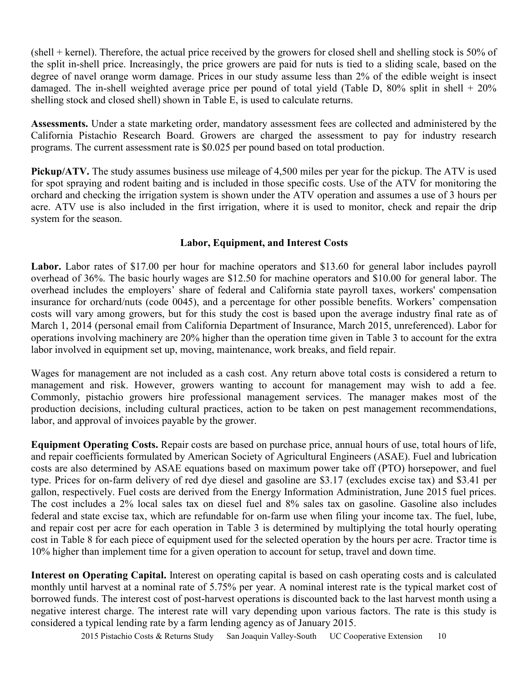(shell + kernel). Therefore, the actual price received by the growers for closed shell and shelling stock is 50% of the split in-shell price. Increasingly, the price growers are paid for nuts is tied to a sliding scale, based on the degree of navel orange worm damage. Prices in our study assume less than 2% of the edible weight is insect damaged. The in-shell weighted average price per pound of total yield (Table D, 80% split in shell + 20% shelling stock and closed shell) shown in Table E, is used to calculate returns.

 **Assessments.** Under a state marketing order, mandatory assessment fees are collected and administered by the California Pistachio Research Board. Growers are charged the assessment to pay for industry research programs. The current assessment rate is \$0.025 per pound based on total production.

**Pickup/ATV.** The study assumes business use mileage of 4,500 miles per year for the pickup. The ATV is used for spot spraying and rodent baiting and is included in those specific costs. Use of the ATV for monitoring the orchard and checking the irrigation system is shown under the ATV operation and assumes a use of 3 hours per acre. ATV use is also included in the first irrigation, where it is used to monitor, check and repair the drip system for the season.

# **Labor, Equipment, and Interest Costs**

Labor. Labor rates of \$17.00 per hour for machine operators and \$13.60 for general labor includes payroll overhead of 36%. The basic hourly wages are \$12.50 for machine operators and \$10.00 for general labor. The overhead includes the employers' share of federal and California state payroll taxes, workers' compensation insurance for orchard/nuts (code 0045), and a percentage for other possible benefits. Workers' compensation costs will vary among growers, but for this study the cost is based upon the average industry final rate as of March 1, 2014 (personal email from California Department of Insurance, March 2015, unreferenced). Labor for operations involving machinery are 20% higher than the operation time given in Table 3 to account for the extra labor involved in equipment set up, moving, maintenance, work breaks, and field repair.

Wages for management are not included as a cash cost. Any return above total costs is considered a return to management and risk. However, growers wanting to account for management may wish to add a fee. Commonly, pistachio growers hire professional management services. The manager makes most of the production decisions, including cultural practices, action to be taken on pest management recommendations, labor, and approval of invoices payable by the grower.

**Equipment Operating Costs.** Repair costs are based on purchase price, annual hours of use, total hours of life, and repair coefficients formulated by American Society of Agricultural Engineers (ASAE). Fuel and lubrication costs are also determined by ASAE equations based on maximum power take off (PTO) horsepower, and fuel type. Prices for on-farm delivery of red dye diesel and gasoline are \$3.17 (excludes excise tax) and \$3.41 per gallon, respectively. Fuel costs are derived from the Energy Information Administration, June 2015 fuel prices. The cost includes a 2% local sales tax on diesel fuel and 8% sales tax on gasoline. Gasoline also includes federal and state excise tax, which are refundable for on-farm use when filing your income tax. The fuel, lube, and repair cost per acre for each operation in Table 3 is determined by multiplying the total hourly operating cost in Table 8 for each piece of equipment used for the selected operation by the hours per acre. Tractor time is 10% higher than implement time for a given operation to account for setup, travel and down time.

**Interest on Operating Capital.** Interest on operating capital is based on cash operating costs and is calculated monthly until harvest at a nominal rate of 5.75% per year. A nominal interest rate is the typical market cost of borrowed funds. The interest cost of post-harvest operations is discounted back to the last harvest month using a negative interest charge. The interest rate will vary depending upon various factors. The rate is this study is considered a typical lending rate by a farm lending agency as of January 2015.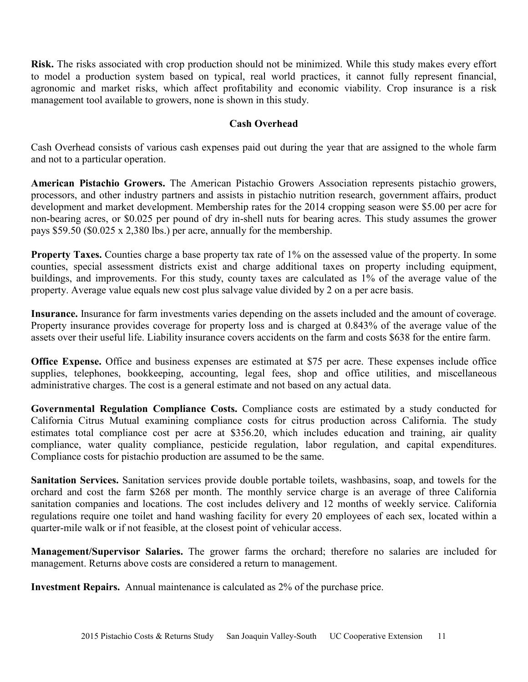**Risk.** The risks associated with crop production should not be minimized. While this study makes every effort to model a production system based on typical, real world practices, it cannot fully represent financial, agronomic and market risks, which affect profitability and economic viability. Crop insurance is a risk management tool available to growers, none is shown in this study.

# **Cash Overhead**

Cash Overhead consists of various cash expenses paid out during the year that are assigned to the whole farm and not to a particular operation.

**American Pistachio Growers.** The American Pistachio Growers Association represents pistachio growers, processors, and other industry partners and assists in pistachio nutrition research, government affairs, product development and market development. Membership rates for the 2014 cropping season were \$5.00 per acre for non-bearing acres, or \$0.025 per pound of dry in-shell nuts for bearing acres. This study assumes the grower pays \$59.50 (\$0.025 x 2,380 lbs.) per acre, annually for the membership.

**Property Taxes.** Counties charge a base property tax rate of 1% on the assessed value of the property. In some counties, special assessment districts exist and charge additional taxes on property including equipment, buildings, and improvements. For this study, county taxes are calculated as 1% of the average value of the property. Average value equals new cost plus salvage value divided by 2 on a per acre basis.

**Insurance.** Insurance for farm investments varies depending on the assets included and the amount of coverage. Property insurance provides coverage for property loss and is charged at 0.843% of the average value of the assets over their useful life. Liability insurance covers accidents on the farm and costs \$638 for the entire farm.

**Office Expense.** Office and business expenses are estimated at \$75 per acre. These expenses include office supplies, telephones, bookkeeping, accounting, legal fees, shop and office utilities, and miscellaneous administrative charges. The cost is a general estimate and not based on any actual data.

**Governmental Regulation Compliance Costs.** Compliance costs are estimated by a study conducted for California Citrus Mutual examining compliance costs for citrus production across California. The study estimates total compliance cost per acre at \$356.20, which includes education and training, air quality compliance, water quality compliance, pesticide regulation, labor regulation, and capital expenditures. Compliance costs for pistachio production are assumed to be the same.

**Sanitation Services.** Sanitation services provide double portable toilets, washbasins, soap, and towels for the orchard and cost the farm \$268 per month. The monthly service charge is an average of three California sanitation companies and locations. The cost includes delivery and 12 months of weekly service. California regulations require one toilet and hand washing facility for every 20 employees of each sex, located within a quarter-mile walk or if not feasible, at the closest point of vehicular access.

**Management/Supervisor Salaries.** The grower farms the orchard; therefore no salaries are included for management. Returns above costs are considered a return to management.

**Investment Repairs.** Annual maintenance is calculated as 2% of the purchase price.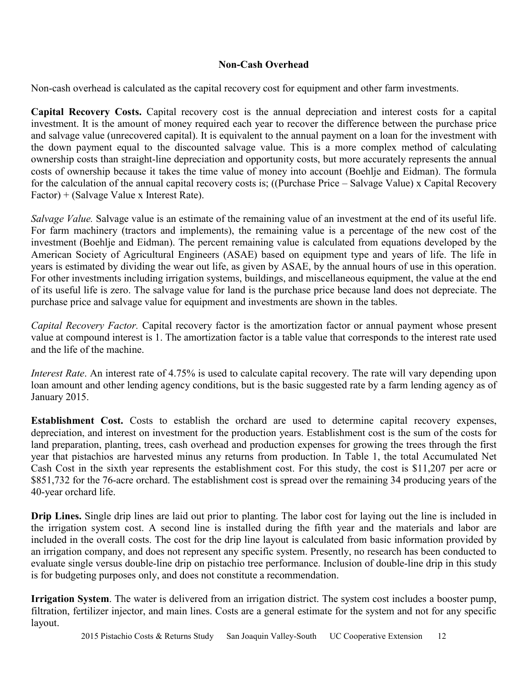# **Non-Cash Overhead**

Non-cash overhead is calculated as the capital recovery cost for equipment and other farm investments.

**Capital Recovery Costs.** Capital recovery cost is the annual depreciation and interest costs for a capital investment. It is the amount of money required each year to recover the difference between the purchase price and salvage value (unrecovered capital). It is equivalent to the annual payment on a loan for the investment with the down payment equal to the discounted salvage value. This is a more complex method of calculating ownership costs than straight-line depreciation and opportunity costs, but more accurately represents the annual costs of ownership because it takes the time value of money into account (Boehlje and Eidman). The formula for the calculation of the annual capital recovery costs is; ((Purchase Price – Salvage Value) x Capital Recovery Factor) + (Salvage Value x Interest Rate).

*Salvage Value.* Salvage value is an estimate of the remaining value of an investment at the end of its useful life. For farm machinery (tractors and implements), the remaining value is a percentage of the new cost of the investment (Boehlje and Eidman). The percent remaining value is calculated from equations developed by the American Society of Agricultural Engineers (ASAE) based on equipment type and years of life. The life in years is estimated by dividing the wear out life, as given by ASAE, by the annual hours of use in this operation. For other investments including irrigation systems, buildings, and miscellaneous equipment, the value at the end of its useful life is zero. The salvage value for land is the purchase price because land does not depreciate. The purchase price and salvage value for equipment and investments are shown in the tables.

*Capital Recovery Factor.* Capital recovery factor is the amortization factor or annual payment whose present value at compound interest is 1. The amortization factor is a table value that corresponds to the interest rate used and the life of the machine.

*Interest Rate*. An interest rate of 4.75% is used to calculate capital recovery. The rate will vary depending upon loan amount and other lending agency conditions, but is the basic suggested rate by a farm lending agency as of January 2015.

**Establishment Cost.** Costs to establish the orchard are used to determine capital recovery expenses, depreciation, and interest on investment for the production years. Establishment cost is the sum of the costs for land preparation, planting, trees, cash overhead and production expenses for growing the trees through the first year that pistachios are harvested minus any returns from production. In Table 1, the total Accumulated Net Cash Cost in the sixth year represents the establishment cost. For this study, the cost is \$11,207 per acre or \$851,732 for the 76-acre orchard. The establishment cost is spread over the remaining 34 producing years of the 40-year orchard life.

**Drip Lines.** Single drip lines are laid out prior to planting. The labor cost for laying out the line is included in the irrigation system cost. A second line is installed during the fifth year and the materials and labor are included in the overall costs. The cost for the drip line layout is calculated from basic information provided by an irrigation company, and does not represent any specific system. Presently, no research has been conducted to evaluate single versus double-line drip on pistachio tree performance. Inclusion of double-line drip in this study is for budgeting purposes only, and does not constitute a recommendation.

**Irrigation System**. The water is delivered from an irrigation district. The system cost includes a booster pump, filtration, fertilizer injector, and main lines. Costs are a general estimate for the system and not for any specific layout.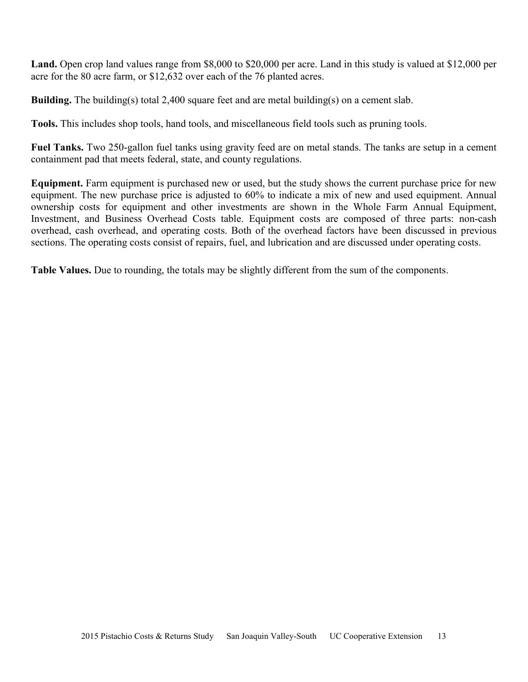**Land.** Open crop land values range from \$8,000 to \$20,000 per acre. Land in this study is valued at \$12,000 per acre for the 80 acre farm, or \$12,632 over each of the 76 planted acres.

**Building.** The building(s) total 2,400 square feet and are metal building(s) on a cement slab.

**Tools.** This includes shop tools, hand tools, and miscellaneous field tools such as pruning tools.

**Fuel Tanks.** Two 250-gallon fuel tanks using gravity feed are on metal stands. The tanks are setup in a cement containment pad that meets federal, state, and county regulations.

**Equipment.** Farm equipment is purchased new or used, but the study shows the current purchase price for new equipment. The new purchase price is adjusted to 60% to indicate a mix of new and used equipment. Annual ownership costs for equipment and other investments are shown in the Whole Farm Annual Equipment, Investment, and Business Overhead Costs table. Equipment costs are composed of three parts: non-cash overhead, cash overhead, and operating costs. Both of the overhead factors have been discussed in previous sections. The operating costs consist of repairs, fuel, and lubrication and are discussed under operating costs.

**Table Values.** Due to rounding, the totals may be slightly different from the sum of the components.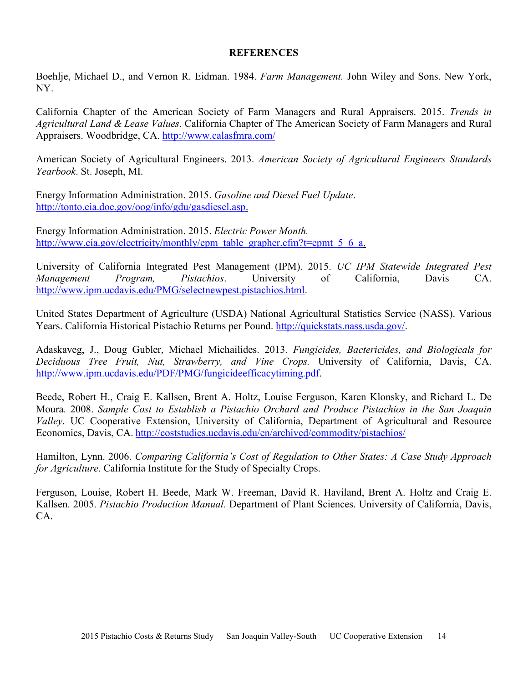# **REFERENCES**

 Boehlje, Michael D., and Vernon R. Eidman. 1984. *Farm Management.* John Wiley and Sons. New York, NY.

California Chapter of the American Society of Farm Managers and Rural Appraisers. 2015. *Trends in Agricultural Land & Lease Values*. California Chapter of The American Society of Farm Managers and Rural Appraisers. Woodbridge, CA. http://www.calasfmra.com/

American Society of Agricultural Engineers. 2013. *American Society of Agricultural Engineers Standards Yearbook*. St. Joseph, MI.

Energy Information Administration. 2015. *Gasoline and Diesel Fuel Update*. http://tonto.eia.doe.gov/oog/info/gdu/gasdiesel.asp.

Energy Information Administration. 2015. *Electric Power Month.* http://www.eia.gov/electricity/monthly/epm\_table\_grapher.cfm?t=epmt\_5\_6\_a.

University of California Integrated Pest Management (IPM). 2015. *UC IPM Statewide Integrated Pest Management Program, Pistachios*. University of California, Davis CA. http://www.ipm.ucdavis.edu/PMG/selectnewpest.pistachios.html.

United States Department of Agriculture (USDA) National Agricultural Statistics Service (NASS). Various Years. California Historical Pistachio Returns per Pound. http://quickstats.nass.usda.gov/.

Adaskaveg, J., Doug Gubler, Michael Michailides. 2013. *Fungicides, Bactericides, and Biologicals for Deciduous Tree Fruit, Nut, Strawberry, and Vine Crops.* University of California, Davis, CA. http://www.ipm.ucdavis.edu/PDF/PMG/fungicideefficacytiming.pdf.

Beede, Robert H., Craig E. Kallsen, Brent A. Holtz, Louise Ferguson, Karen Klonsky, and Richard L. De Moura. 2008. *Sample Cost to Establish a Pistachio Orchard and Produce Pistachios in the San Joaquin Valley*. UC Cooperative Extension, University of California, Department of Agricultural and Resource Economics, Davis, CA. http://coststudies.ucdavis.edu/en/archived/commodity/pistachios/

Hamilton, Lynn. 2006. *Comparing California's Cost of Regulation to Other States: A Case Study Approach for Agriculture*. California Institute for the Study of Specialty Crops.

Ferguson, Louise, Robert H. Beede, Mark W. Freeman, David R. Haviland, Brent A. Holtz and Craig E. Kallsen. 2005. *Pistachio Production Manual.* Department of Plant Sciences. University of California, Davis, CA.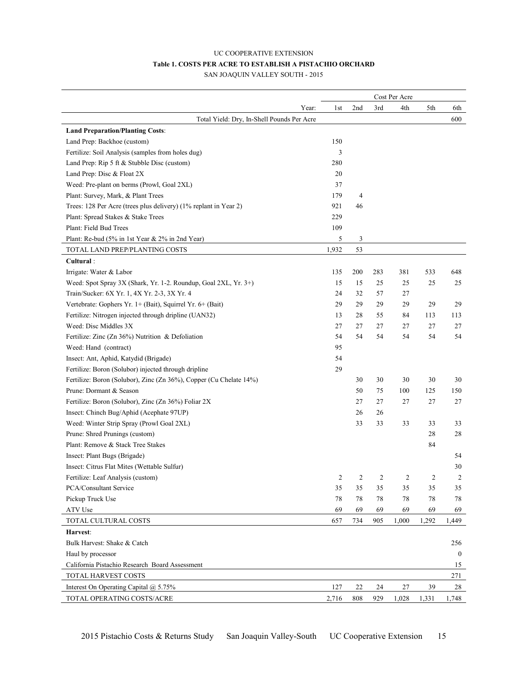# UC COOPERATIVE EXTENSION **Table 1. COSTS PER ACRE TO ESTABLISH A PISTACHIO ORCHARD**

SAN JOAQUIN VALLEY SOUTH - 2015

|                                                                    |              |     |     | Cost Per Acre |       |                  |
|--------------------------------------------------------------------|--------------|-----|-----|---------------|-------|------------------|
|                                                                    | Year:<br>1st | 2nd | 3rd | 4th           | 5th   | 6th              |
| Total Yield: Dry, In-Shell Pounds Per Acre                         |              |     |     |               |       | 600              |
| <b>Land Preparation/Planting Costs:</b>                            |              |     |     |               |       |                  |
| Land Prep: Backhoe (custom)                                        | 150          |     |     |               |       |                  |
| Fertilize: Soil Analysis (samples from holes dug)                  | 3            |     |     |               |       |                  |
| Land Prep: Rip 5 ft & Stubble Disc (custom)                        | 280          |     |     |               |       |                  |
| Land Prep: Disc & Float 2X                                         | 20           |     |     |               |       |                  |
| Weed: Pre-plant on berms (Prowl, Goal 2XL)                         | 37           |     |     |               |       |                  |
| Plant: Survey, Mark, & Plant Trees                                 | 179          | 4   |     |               |       |                  |
| Trees: 128 Per Acre (trees plus delivery) (1% replant in Year 2)   | 921          | 46  |     |               |       |                  |
| Plant: Spread Stakes & Stake Trees                                 | 229          |     |     |               |       |                  |
| Plant: Field Bud Trees                                             | 109          |     |     |               |       |                  |
| Plant: Re-bud (5% in 1st Year & 2% in 2nd Year)                    | 5            | 3   |     |               |       |                  |
| TOTAL LAND PREP/PLANTING COSTS                                     | 1,932        | 53  |     |               |       |                  |
| Cultural:                                                          |              |     |     |               |       |                  |
| Irrigate: Water & Labor                                            | 135          | 200 | 283 | 381           | 533   | 648              |
| Weed: Spot Spray 3X (Shark, Yr. 1-2. Roundup, Goal 2XL, Yr. 3+)    | 15           | 15  | 25  | 25            | 25    | 25               |
| Train/Sucker: 6X Yr. 1, 4X Yr. 2-3, 3X Yr. 4                       | 24           | 32  | 57  | 27            |       |                  |
| Vertebrate: Gophers Yr. 1+ (Bait), Squirrel Yr. 6+ (Bait)          | 29           | 29  | 29  | 29            | 29    | 29               |
| Fertilize: Nitrogen injected through dripline (UAN32)              | 13           | 28  | 55  | 84            | 113   | 113              |
| Weed: Disc Middles 3X                                              | 27           | 27  | 27  | 27            | 27    | 27               |
| Fertilize: Zinc (Zn 36%) Nutrition & Defoliation                   | 54           | 54  | 54  | 54            | 54    | 54               |
| Weed: Hand (contract)                                              | 95           |     |     |               |       |                  |
| Insect: Ant, Aphid, Katydid (Brigade)                              | 54           |     |     |               |       |                  |
| Fertilize: Boron (Solubor) injected through dripline               | 29           |     |     |               |       |                  |
| Fertilize: Boron (Solubor), Zinc (Zn 36%), Copper (Cu Chelate 14%) |              | 30  | 30  | 30            | 30    | 30               |
| Prune: Dormant & Season                                            |              | 50  | 75  | 100           | 125   | 150              |
| Fertilize: Boron (Solubor), Zinc (Zn 36%) Foliar 2X                |              | 27  | 27  | 27            | 27    | 27               |
| Insect: Chinch Bug/Aphid (Acephate 97UP)                           |              | 26  | 26  |               |       |                  |
| Weed: Winter Strip Spray (Prowl Goal 2XL)                          |              | 33  | 33  | 33            | 33    | 33               |
| Prune: Shred Prunings (custom)                                     |              |     |     |               | 28    | 28               |
| Plant: Remove & Stack Tree Stakes                                  |              |     |     |               | 84    |                  |
| Insect: Plant Bugs (Brigade)                                       |              |     |     |               |       | 54               |
| Insect: Citrus Flat Mites (Wettable Sulfur)                        |              |     |     |               |       | 30               |
| Fertilize: Leaf Analysis (custom)                                  | 2            | 2   | 2   | 2             | 2     | 2                |
| PCA/Consultant Service                                             | 35           | 35  | 35  | 35            | 35    | 35               |
| Pickup Truck Use                                                   | 78           | 78  | 78  | 78            | 78    | 78               |
| ATV Use                                                            | 69           | 69  | 69  | 69            | 69    | 69               |
| TOTAL CULTURAL COSTS                                               | 657          | 734 | 905 | 1,000         | 1,292 | 1,449            |
| Harvest:                                                           |              |     |     |               |       |                  |
| Bulk Harvest: Shake & Catch                                        |              |     |     |               |       | 256              |
| Haul by processor                                                  |              |     |     |               |       | $\boldsymbol{0}$ |
| California Pistachio Research Board Assessment                     |              |     |     |               |       | 15               |
| TOTAL HARVEST COSTS                                                |              |     |     |               |       | 271              |
| Interest On Operating Capital @ 5.75%                              | 127          | 22  | 24  | 27            | 39    | 28               |
| TOTAL OPERATING COSTS/ACRE                                         | 2,716        | 808 | 929 | 1,028         | 1,331 | 1,748            |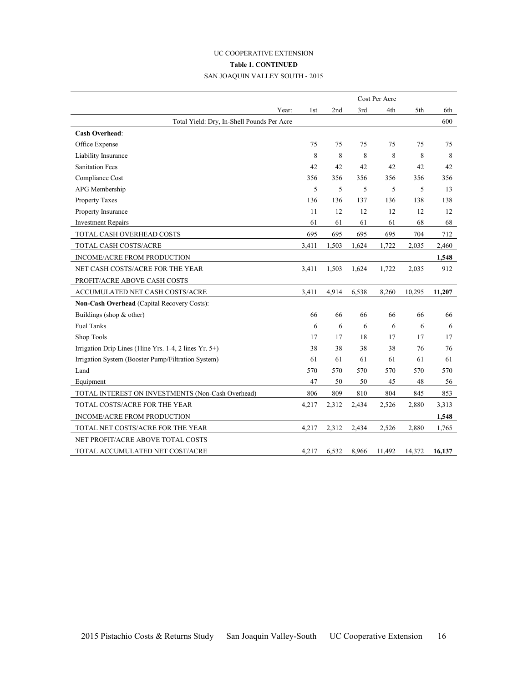# UC COOPERATIVE EXTENSION **Table 1. CONTINUED** SAN JOAQUIN VALLEY SOUTH - 2015

|                                                        |       |       |       | Cost Per Acre |        |        |
|--------------------------------------------------------|-------|-------|-------|---------------|--------|--------|
| Year:                                                  | 1st   | 2nd   | 3rd   | 4th           | 5th    | 6th    |
| Total Yield: Dry, In-Shell Pounds Per Acre             |       |       |       |               |        | 600    |
| <b>Cash Overhead:</b>                                  |       |       |       |               |        |        |
| Office Expense                                         | 75    | 75    | 75    | 75            | 75     | 75     |
| Liability Insurance                                    | 8     | 8     | 8     | 8             | 8      | 8      |
| <b>Sanitation Fees</b>                                 | 42    | 42    | 42    | 42            | 42     | 42     |
| Compliance Cost                                        | 356   | 356   | 356   | 356           | 356    | 356    |
| APG Membership                                         | 5     | 5     | 5     | 5             | 5      | 13     |
| Property Taxes                                         | 136   | 136   | 137   | 136           | 138    | 138    |
| Property Insurance                                     | 11    | 12    | 12    | 12            | 12     | 12     |
| <b>Investment Repairs</b>                              | 61    | 61    | 61    | 61            | 68     | 68     |
| TOTAL CASH OVERHEAD COSTS                              | 695   | 695   | 695   | 695           | 704    | 712    |
| TOTAL CASH COSTS/ACRE                                  | 3,411 | 1,503 | 1,624 | 1,722         | 2,035  | 2,460  |
| INCOME/ACRE FROM PRODUCTION                            |       |       |       |               |        | 1,548  |
| NET CASH COSTS/ACRE FOR THE YEAR                       | 3,411 | 1,503 | 1,624 | 1,722         | 2,035  | 912    |
| PROFIT/ACRE ABOVE CASH COSTS                           |       |       |       |               |        |        |
| ACCUMULATED NET CASH COSTS/ACRE                        | 3,411 | 4,914 | 6,538 | 8,260         | 10,295 | 11,207 |
| Non-Cash Overhead (Capital Recovery Costs):            |       |       |       |               |        |        |
| Buildings (shop $&$ other)                             | 66    | 66    | 66    | 66            | 66     | 66     |
| <b>Fuel Tanks</b>                                      | 6     | 6     | 6     | 6             | 6      | 6      |
| Shop Tools                                             | 17    | 17    | 18    | 17            | 17     | 17     |
| Irrigation Drip Lines (1line Yrs. 1-4, 2 lines Yr. 5+) | 38    | 38    | 38    | 38            | 76     | 76     |
| Irrigation System (Booster Pump/Filtration System)     | 61    | 61    | 61    | 61            | 61     | 61     |
| Land                                                   | 570   | 570   | 570   | 570           | 570    | 570    |
| Equipment                                              | 47    | 50    | 50    | 45            | 48     | 56     |
| TOTAL INTEREST ON INVESTMENTS (Non-Cash Overhead)      | 806   | 809   | 810   | 804           | 845    | 853    |
| TOTAL COSTS/ACRE FOR THE YEAR                          | 4,217 | 2,312 | 2,434 | 2,526         | 2,880  | 3,313  |
| INCOME/ACRE FROM PRODUCTION                            |       |       |       |               |        | 1,548  |
| TOTAL NET COSTS/ACRE FOR THE YEAR                      | 4,217 | 2,312 | 2,434 | 2,526         | 2,880  | 1,765  |
| NET PROFIT/ACRE ABOVE TOTAL COSTS                      |       |       |       |               |        |        |
| TOTAL ACCUMULATED NET COST/ACRE                        | 4,217 | 6,532 | 8,966 | 11,492        | 14,372 | 16,137 |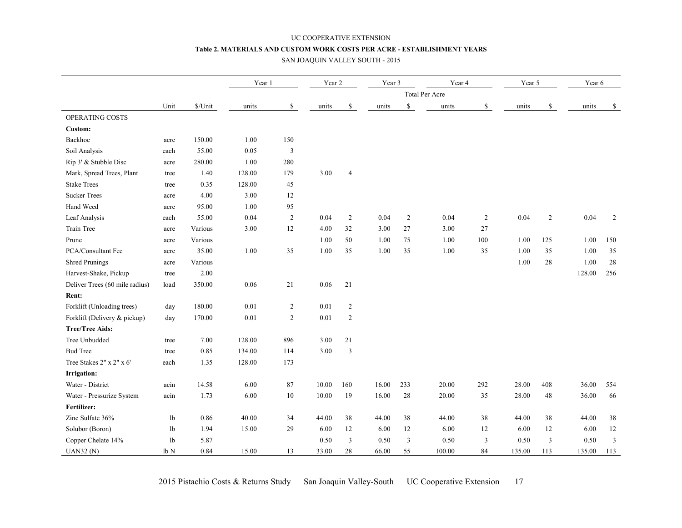#### UC COOPERATIVE EXTENSION **Table 2. MATERIALS AND CUSTOM WORK COSTS PER ACRE - ESTABLISHMENT YEARS**

#### SAN JOAQUIN VALLEY SOUTH - 2015

|                                |      |           | Year 1   |                | Year 2 |                | Year 3 |                | Year 4 |                | Year 5 |                         | Year 6 |                |
|--------------------------------|------|-----------|----------|----------------|--------|----------------|--------|----------------|--------|----------------|--------|-------------------------|--------|----------------|
|                                |      |           |          |                |        |                |        | Total Per Acre |        |                |        |                         |        |                |
|                                | Unit | $\Lambda$ | units    | $\mathbb S$    | units  | $\mathbb{S}$   | units  | $\mathbb S$    | units  | $\mathbb S$    | units  | ${\mathbb S}$           | units  | $\mathbb{S}$   |
| OPERATING COSTS                |      |           |          |                |        |                |        |                |        |                |        |                         |        |                |
| Custom:                        |      |           |          |                |        |                |        |                |        |                |        |                         |        |                |
| Backhoe                        | acre | 150.00    | 1.00     | 150            |        |                |        |                |        |                |        |                         |        |                |
| Soil Analysis                  | each | 55.00     | 0.05     | 3              |        |                |        |                |        |                |        |                         |        |                |
| Rip 3' & Stubble Disc          | acre | 280.00    | 1.00     | 280            |        |                |        |                |        |                |        |                         |        |                |
| Mark, Spread Trees, Plant      | tree | 1.40      | 128.00   | 179            | 3.00   | $\overline{4}$ |        |                |        |                |        |                         |        |                |
| <b>Stake Trees</b>             | tree | 0.35      | 128.00   | 45             |        |                |        |                |        |                |        |                         |        |                |
| <b>Sucker Trees</b>            | acre | 4.00      | 3.00     | 12             |        |                |        |                |        |                |        |                         |        |                |
| Hand Weed                      | acre | 95.00     | 1.00     | 95             |        |                |        |                |        |                |        |                         |        |                |
| Leaf Analysis                  | each | 55.00     | 0.04     | $\overline{2}$ | 0.04   | 2              | 0.04   | $\overline{2}$ | 0.04   | $\overline{2}$ | 0.04   | 2                       | 0.04   | 2              |
| Train Tree                     | acre | Various   | 3.00     | 12             | 4.00   | 32             | 3.00   | $27\,$         | 3.00   | 27             |        |                         |        |                |
| Prune                          | acre | Various   |          |                | 1.00   | 50             | 1.00   | 75             | 1.00   | 100            | 1.00   | 125                     | 1.00   | 150            |
| PCA/Consultant Fee             | acre | 35.00     | 1.00     | 35             | 1.00   | 35             | 1.00   | 35             | 1.00   | 35             | 1.00   | 35                      | 1.00   | 35             |
| <b>Shred Prunings</b>          | acre | Various   |          |                |        |                |        |                |        |                | 1.00   | 28                      | 1.00   | $28\,$         |
| Harvest-Shake, Pickup          | tree | 2.00      |          |                |        |                |        |                |        |                |        |                         | 128.00 | 256            |
| Deliver Trees (60 mile radius) | load | 350.00    | 0.06     | 21             | 0.06   | 21             |        |                |        |                |        |                         |        |                |
| Rent:                          |      |           |          |                |        |                |        |                |        |                |        |                         |        |                |
| Forklift (Unloading trees)     | day  | 180.00    | $0.01\,$ | $\overline{c}$ | 0.01   | 2              |        |                |        |                |        |                         |        |                |
| Forklift (Delivery & pickup)   | day  | 170.00    | 0.01     | $\sqrt{2}$     | 0.01   | 2              |        |                |        |                |        |                         |        |                |
| <b>Tree/Tree Aids:</b>         |      |           |          |                |        |                |        |                |        |                |        |                         |        |                |
| Tree Unbudded                  | tree | 7.00      | 128.00   | 896            | 3.00   | $21\,$         |        |                |        |                |        |                         |        |                |
| <b>Bud Tree</b>                | tree | 0.85      | 134.00   | 114            | 3.00   | $\overline{3}$ |        |                |        |                |        |                         |        |                |
| Tree Stakes 2" x 2" x 6'       | each | 1.35      | 128.00   | 173            |        |                |        |                |        |                |        |                         |        |                |
| <b>Irrigation:</b>             |      |           |          |                |        |                |        |                |        |                |        |                         |        |                |
| Water - District               | acin | 14.58     | 6.00     | 87             | 10.00  | 160            | 16.00  | 233            | 20.00  | 292            | 28.00  | 408                     | 36.00  | 554            |
| Water - Pressurize System      | acin | 1.73      | 6.00     | $10\,$         | 10.00  | 19             | 16.00  | $28\,$         | 20.00  | 35             | 28.00  | 48                      | 36.00  | 66             |
| Fertilizer:                    |      |           |          |                |        |                |        |                |        |                |        |                         |        |                |
| Zinc Sulfate 36%               | lb   | 0.86      | 40.00    | 34             | 44.00  | 38             | 44.00  | 38             | 44.00  | 38             | 44.00  | 38                      | 44.00  | 38             |
| Solubor (Boron)                | lb   | 1.94      | 15.00    | 29             | 6.00   | 12             | 6.00   | 12             | 6.00   | 12             | 6.00   | 12                      | 6.00   | 12             |
| Copper Chelate 14%             | lb   | 5.87      |          |                | 0.50   | $\mathfrak{Z}$ | 0.50   | $\mathfrak z$  | 0.50   | $\mathfrak{Z}$ | 0.50   | $\overline{\mathbf{3}}$ | 0.50   | $\mathfrak{Z}$ |
| <b>UAN32 (N)</b>               | lb N | 0.84      | 15.00    | 13             | 33.00  | 28             | 66.00  | 55             | 100.00 | 84             | 135.00 | 113                     | 135.00 | 113            |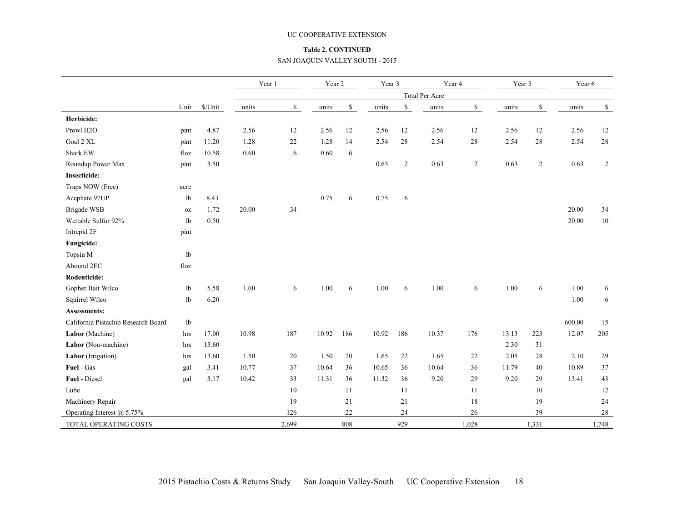#### UC COOPERATIVE EXTENSION

#### **Table 2. CONTINUED**

#### SAN JOAQUIN VALLEY SOUTH - 2015

|                                     |      |         | Year 1 |              | Year 2 |             | Year 3 |             |                | Year 4         | Year 5 |             | Year 6 |        |
|-------------------------------------|------|---------|--------|--------------|--------|-------------|--------|-------------|----------------|----------------|--------|-------------|--------|--------|
|                                     |      |         |        |              |        |             |        |             | Total Per Acre |                |        |             |        |        |
|                                     | Unit | \$/Unit | units  | $\mathbb{S}$ | units  | $\mathbb S$ | units  | $\mathbb S$ | units          | $\mathbb S$    | units  | $\mathbb S$ | units  | \$     |
| Herbicide:                          |      |         |        |              |        |             |        |             |                |                |        |             |        |        |
| Prowl H <sub>2O</sub>               | pint | 4.87    | 2.56   | 12           | 2.56   | 12          | 2.56   | 12          | 2.56           | $12\,$         | 2.56   | 12          | 2.56   | 12     |
| Goal 2 XL                           | pint | 11.20   | 1.28   | 22           | 1.28   | 14          | 2.54   | 28          | 2.54           | $28\,$         | 2.54   | 28          | 2.54   | $28\,$ |
| <b>Shark EW</b>                     | floz | 10.58   | 0.60   | 6            | 0.60   | 6           |        |             |                |                |        |             |        |        |
| Roundup Power Max                   | pint | 3.50    |        |              |        |             | 0.63   | 2           | 0.63           | $\overline{2}$ | 0.63   | 2           | 0.63   | 2      |
| <b>Insecticide:</b>                 |      |         |        |              |        |             |        |             |                |                |        |             |        |        |
| Traps NOW (Free)                    | acre |         |        |              |        |             |        |             |                |                |        |             |        |        |
| Acephate 97UP                       | lb   | 8.43    |        |              | 0.75   | 6           | 0.75   | 6           |                |                |        |             |        |        |
| Brigade WSB                         | 0Z   | 1.72    | 20.00  | 34           |        |             |        |             |                |                |        |             | 20.00  | 34     |
| Wettable Sulfur 92%                 | lb   | 0.50    |        |              |        |             |        |             |                |                |        |             | 20.00  | 10     |
| Intrepid 2F                         | pint |         |        |              |        |             |        |             |                |                |        |             |        |        |
| Fungicide:                          |      |         |        |              |        |             |        |             |                |                |        |             |        |        |
| Topsin M                            | lb   |         |        |              |        |             |        |             |                |                |        |             |        |        |
| Abound 2EC                          | floz |         |        |              |        |             |        |             |                |                |        |             |        |        |
| Rodenticide:                        |      |         |        |              |        |             |        |             |                |                |        |             |        |        |
| Gopher Bait Wilco                   | lb   | 5.58    | 1.00   | 6            | 1.00   | 6           | 1.00   | 6           | 1.00           | 6              | 1.00   | 6           | 1.00   | 6      |
| Squirrel Wilco                      | lb   | 6.20    |        |              |        |             |        |             |                |                |        |             | 1.00   | 6      |
| <b>Assessments:</b>                 |      |         |        |              |        |             |        |             |                |                |        |             |        |        |
| California Pistachio Research Board | lb   |         |        |              |        |             |        |             |                |                |        |             | 600.00 | 15     |
| Labor (Machine)                     | hrs  | 17.00   | 10.98  | 187          | 10.92  | 186         | 10.92  | 186         | 10.37          | 176            | 13.13  | 223         | 12.07  | 205    |
| Labor (Non-machine)                 | hrs  | 13.60   |        |              |        |             |        |             |                |                | 2.30   | 31          |        |        |
| Labor (Irrigation)                  | hrs  | 13.60   | 1.50   | 20           | 1.50   | 20          | 1.65   | 22          | 1.65           | 22             | 2.05   | 28          | 2.10   | 29     |
| Fuel - Gas                          | gal  | 3.41    | 10.77  | 37           | 10.64  | 36          | 10.65  | 36          | 10.64          | 36             | 11.79  | 40          | 10.89  | 37     |
| Fuel - Diesel                       | gal  | 3.17    | 10.42  | 33           | 11.31  | 36          | 11.32  | 36          | 9.20           | 29             | 9.20   | 29          | 13.41  | 43     |
| Lube                                |      |         |        | 10           |        | 11          |        | 11          |                | 11             |        | 10          |        | 12     |
| Machinery Repair                    |      |         |        | 19           |        | 21          |        | 21          |                | 18             |        | 19          |        | 24     |
| Operating Interest $@$ 5.75%        |      |         |        | 126          |        | 22          |        | 24          |                | 26             |        | 39          |        | 28     |
| TOTAL OPERATING COSTS               |      |         |        | 2,699        |        | 808         |        | 929         |                | 1,028          |        | 1,331       |        | 1,748  |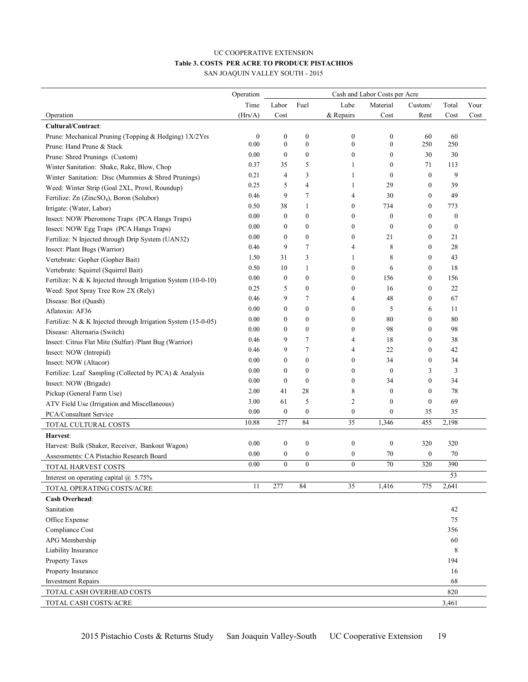#### UC COOPERATIVE EXTENSION **Table 3. COSTS PER ACRE TO PRODUCE PISTACHIOS** SAN JOAQUIN VALLEY SOUTH - 2015

|                                                               | Operation        | Cash and Labor Costs per Acre |                  |                  |                  |                  |                  |      |
|---------------------------------------------------------------|------------------|-------------------------------|------------------|------------------|------------------|------------------|------------------|------|
|                                                               | Time             | Labor                         | Fuel             | Lube             | Material         | Custom/          | Total            | Your |
| Operation                                                     | (Hrs/A)          | Cost                          |                  | & Repairs        | Cost             | Rent             | Cost             | Cost |
| Cultural/Contract:                                            |                  |                               |                  |                  |                  |                  |                  |      |
| Prune: Mechanical Pruning (Topping & Hedging) 1X/2Yrs         | $\boldsymbol{0}$ | $\boldsymbol{0}$              | $\boldsymbol{0}$ | $\boldsymbol{0}$ | $\boldsymbol{0}$ | 60               | 60               |      |
| Prune: Hand Prune & Stack                                     | 0.00             | $\boldsymbol{0}$              | $\boldsymbol{0}$ | $\boldsymbol{0}$ | $\boldsymbol{0}$ | 250              | 250              |      |
| Prune: Shred Prunings (Custom)                                | 0.00             | $\bf{0}$                      | $\boldsymbol{0}$ | $\boldsymbol{0}$ | $\boldsymbol{0}$ | 30               | 30               |      |
| Winter Sanitation: Shake, Rake, Blow, Chop                    | 0.37             | 35                            | 5                | 1                | $\boldsymbol{0}$ | 71               | 113              |      |
| Winter Sanitation: Disc (Mummies & Shred Prunings)            | 0.21             | 4                             | 3                | 1                | $\boldsymbol{0}$ | $\mathbf{0}$     | 9                |      |
| Weed: Winter Strip (Goal 2XL, Prowl, Roundup)                 | 0.25             | 5                             | 4                | 1                | 29               | $\mathbf{0}$     | 39               |      |
| Fertilize: Zn (ZincSO <sub>4</sub> ), Boron (Solubor)         | 0.46             | 9                             | $\overline{7}$   | 4                | 30               | $\mathbf{0}$     | 49               |      |
| Irrigate: (Water, Labor)                                      | 0.50             | 38                            | $\mathbf{1}$     | $\boldsymbol{0}$ | 734              | $\mathbf{0}$     | 773              |      |
| Insect: NOW Pheromone Traps (PCA Hangs Traps)                 | 0.00             | $\boldsymbol{0}$              | $\boldsymbol{0}$ | $\boldsymbol{0}$ | $\boldsymbol{0}$ | $\mathbf{0}$     | $\boldsymbol{0}$ |      |
| Insect: NOW Egg Traps (PCA Hangs Traps)                       | 0.00             | $\boldsymbol{0}$              | $\boldsymbol{0}$ | $\boldsymbol{0}$ | $\boldsymbol{0}$ | $\mathbf{0}$     | $\boldsymbol{0}$ |      |
| Fertilize: N Injected through Drip System (UAN32)             | 0.00             | $\boldsymbol{0}$              | $\boldsymbol{0}$ | $\boldsymbol{0}$ | 21               | $\mathbf{0}$     | 21               |      |
| Insect: Plant Bugs (Warrior)                                  | 0.46             | 9                             | $\overline{7}$   | 4                | 8                | $\mathbf{0}$     | 28               |      |
| Vertebrate: Gopher (Gopher Bait)                              | 1.50             | 31                            | 3                | 1                | 8                | $\mathbf{0}$     | 43               |      |
| Vertebrate: Squirrel (Squirrel Bait)                          | 0.50             | 10                            | $\mathbf{1}$     | $\boldsymbol{0}$ | 6                | $\mathbf{0}$     | 18               |      |
| Fertilize: N & K Injected through Irrigation System (10-0-10) | 0.00             | $\boldsymbol{0}$              | $\boldsymbol{0}$ | $\boldsymbol{0}$ | 156              | $\mathbf{0}$     | 156              |      |
| Weed: Spot Spray Tree Row 2X (Rely)                           | 0.25             | 5                             | $\boldsymbol{0}$ | $\boldsymbol{0}$ | 16               | $\overline{0}$   | 22               |      |
| Disease: Bot (Quash)                                          | 0.46             | 9                             | 7                | 4                | 48               | $\overline{0}$   | 67               |      |
| Aflatoxin: AF36                                               | 0.00             | $\mathbf{0}$                  | $\boldsymbol{0}$ | 0                | 5                | 6                | 11               |      |
| Fertilize: N & K Injected through Irrigation System (15-0-05) | 0.00             | $\mathbf{0}$                  | $\boldsymbol{0}$ | $\boldsymbol{0}$ | 80               | $\overline{0}$   | 80               |      |
| Disease: Alternaria (Switch)                                  | 0.00             | $\mathbf{0}$                  | $\bf{0}$         | $\boldsymbol{0}$ | 98               | $\overline{0}$   | 98               |      |
| Insect: Citrus Flat Mite (Sulfur) /Plant Bug (Warrior)        | 0.46             | 9                             | 7                | 4                | 18               | $\overline{0}$   | 38               |      |
| Insect: NOW (Intrepid)                                        | 0.46             | 9                             | $\overline{7}$   | 4                | 22               | $\overline{0}$   | 42               |      |
| Insect: NOW (Altacor)                                         | 0.00             | 0                             | $\boldsymbol{0}$ | $\boldsymbol{0}$ | 34               | $\boldsymbol{0}$ | 34               |      |
| Fertilize: Leaf Sampling (Collected by PCA) & Analysis        | 0.00             | 0                             | $\boldsymbol{0}$ | $\boldsymbol{0}$ | $\boldsymbol{0}$ | 3                | 3                |      |
| Insect: NOW (Brigade)                                         | 0.00             | $\mathbf{0}$                  | $\boldsymbol{0}$ | $\boldsymbol{0}$ | 34               | $\overline{0}$   | 34               |      |
| Pickup (General Farm Use)                                     | 2.00             | 41                            | 28               | 8                | $\boldsymbol{0}$ | $\theta$         | 78               |      |
| ATV Field Use (Irrigation and Miscellaneous)                  | 3.00             | 61                            | 5                | 2                | $\boldsymbol{0}$ | $\boldsymbol{0}$ | 69               |      |
| PCA/Consultant Service                                        | 0.00             | $\boldsymbol{0}$              | $\boldsymbol{0}$ | $\boldsymbol{0}$ | $\boldsymbol{0}$ | 35               | 35               |      |
| TOTAL CULTURAL COSTS                                          | 10.88            | 277                           | 84               | 35               | 1,346            | 455              | 2,198            |      |
| Harvest:                                                      |                  |                               |                  |                  |                  |                  |                  |      |
| Harvest: Bulk (Shaker, Receiver, Bankout Wagon)               | 0.00             | $\boldsymbol{0}$              | $\boldsymbol{0}$ | $\boldsymbol{0}$ | $\boldsymbol{0}$ | 320              | 320              |      |
| Assessments: CA Pistachio Research Board                      | 0.00             | 0                             | $\boldsymbol{0}$ | $\boldsymbol{0}$ | 70               | $\boldsymbol{0}$ | 70               |      |
| TOTAL HARVEST COSTS                                           | 0.00             | $\overline{0}$                | $\boldsymbol{0}$ | $\boldsymbol{0}$ | 70               | 320              | 390              |      |
| Interest on operating capital $\omega$ , 5.75%                |                  |                               |                  |                  |                  |                  | 53               |      |
| TOTAL OPERATING COSTS/ACRE                                    | 11               | 277                           | 84               | 35               | 1,416            | 775              | 2,641            |      |
| <b>Cash Overhead:</b>                                         |                  |                               |                  |                  |                  |                  |                  |      |
| Sanitation                                                    |                  |                               |                  |                  |                  |                  | 42               |      |
| Office Expense                                                |                  |                               |                  |                  |                  |                  | 75               |      |
| Compliance Cost                                               |                  |                               |                  |                  |                  |                  | 356              |      |
| APG Membership                                                |                  |                               |                  |                  |                  |                  | 60               |      |
| Liability Insurance                                           |                  |                               |                  |                  |                  |                  | 8                |      |
| Property Taxes                                                |                  |                               |                  |                  |                  |                  | 194              |      |
| Property Insurance                                            |                  |                               |                  |                  |                  |                  | 16               |      |
| <b>Investment Repairs</b>                                     |                  |                               |                  |                  |                  |                  | 68               |      |
| TOTAL CASH OVERHEAD COSTS                                     |                  |                               |                  |                  |                  |                  | 820              |      |
| TOTAL CASH COSTS/ACRE                                         |                  |                               |                  |                  |                  |                  | 3,461            |      |
|                                                               |                  |                               |                  |                  |                  |                  |                  |      |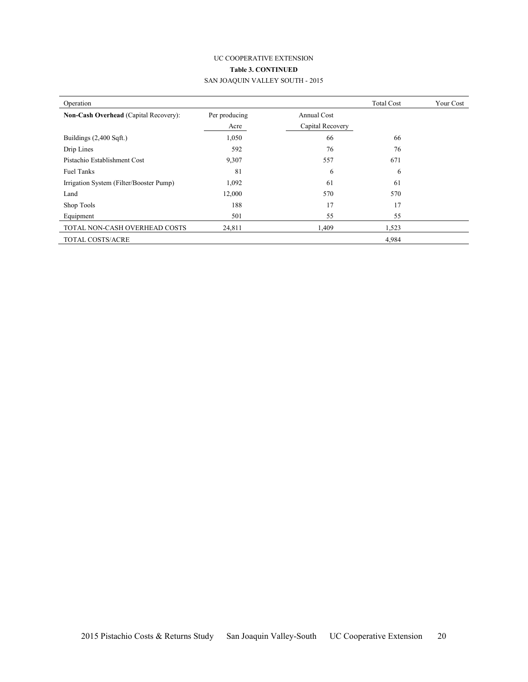# UC COOPERATIVE EXTENSION **Table 3. CONTINUED** SAN JOAQUIN VALLEY SOUTH - 2015

| Operation                                    |               |                    | <b>Total Cost</b> | Your Cost |
|----------------------------------------------|---------------|--------------------|-------------------|-----------|
| <b>Non-Cash Overhead (Capital Recovery):</b> | Per producing | <b>Annual Cost</b> |                   |           |
|                                              | Acre          | Capital Recovery   |                   |           |
| Buildings $(2,400 \text{ Sqft.})$            | 1,050         | 66                 | 66                |           |
| Drip Lines                                   | 592           | 76                 | 76                |           |
| Pistachio Establishment Cost                 | 9,307         | 557                | 671               |           |
| <b>Fuel Tanks</b>                            | 81            | 6                  | 6                 |           |
| Irrigation System (Filter/Booster Pump)      | 1,092         | 61                 | 61                |           |
| Land                                         | 12,000        | 570                | 570               |           |
| Shop Tools                                   | 188           | 17                 | 17                |           |
| Equipment                                    | 501           | 55                 | 55                |           |
| TOTAL NON-CASH OVERHEAD COSTS                | 24,811        | 1,409              | 1,523             |           |
| <b>TOTAL COSTS/ACRE</b>                      |               |                    | 4,984             |           |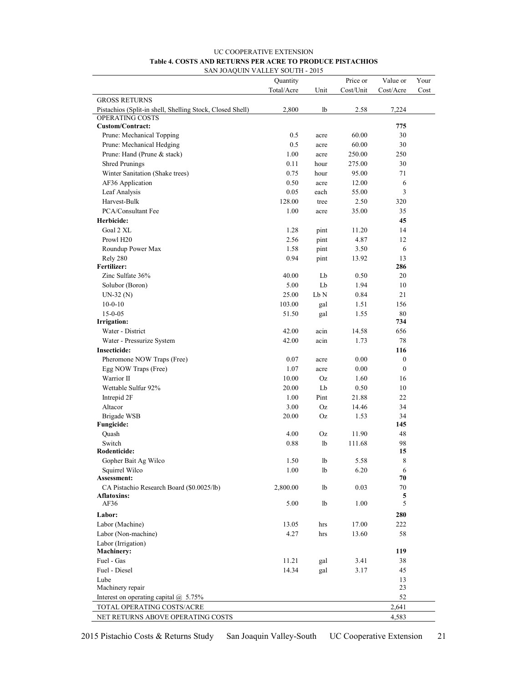| <b>UC COOPERATIVE EXTENSION</b>                           |
|-----------------------------------------------------------|
| Table 4. COSTS AND RETURNS PER ACRE TO PRODUCE PISTACHIOS |
| SAN JOAOUIN VALLEY SOUTH - 2015                           |

|                                                           | Quantity   |      | Price or  | Value or         | Your |
|-----------------------------------------------------------|------------|------|-----------|------------------|------|
|                                                           | Total/Acre | Unit | Cost/Unit | Cost/Acre        | Cost |
| <b>GROSS RETURNS</b>                                      |            |      |           |                  |      |
| Pistachios (Split-in shell, Shelling Stock, Closed Shell) | 2,800      | lb   | 2.58      | 7,224            |      |
| OPERATING COSTS                                           |            |      |           |                  |      |
| <b>Custom/Contract:</b>                                   |            |      |           | 775              |      |
| Prune: Mechanical Topping                                 | 0.5        | acre | 60.00     | 30               |      |
| Prune: Mechanical Hedging                                 | 0.5        | acre | 60.00     | 30               |      |
| Prune: Hand (Prune & stack)                               | 1.00       | acre | 250.00    | 250              |      |
| <b>Shred Prunings</b>                                     | 0.11       | hour | 275.00    | 30               |      |
| Winter Sanitation (Shake trees)                           | 0.75       | hour | 95.00     | 71               |      |
| AF36 Application                                          | 0.50       | acre | 12.00     | 6                |      |
| Leaf Analysis                                             | 0.05       | each | 55.00     | $\overline{3}$   |      |
| Harvest-Bulk                                              | 128.00     | tree | 2.50      | 320              |      |
| PCA/Consultant Fee                                        | 1.00       | acre | 35.00     | 35               |      |
| Herbicide:                                                |            |      |           | 45               |      |
| Goal 2 XL                                                 | 1.28       | pint | 11.20     | 14               |      |
| Prowl H <sub>20</sub>                                     | 2.56       | pint | 4.87      | 12               |      |
| Roundup Power Max                                         | 1.58       | pint | 3.50      | 6                |      |
| Rely 280                                                  | 0.94       | pint | 13.92     | 13               |      |
| <b>Fertilizer:</b>                                        |            |      |           | 286              |      |
| Zinc Sulfate 36%                                          | 40.00      | Lb   | 0.50      | 20               |      |
| Solubor (Boron)                                           | 5.00       | Lb   | 1.94      | 10               |      |
| $UN-32(N)$                                                | 25.00      | Lb N | 0.84      | 21               |      |
| $10-0-10$                                                 | 103.00     | gal  | 1.51      | 156              |      |
| $15 - 0 - 05$                                             | 51.50      | gal  | 1.55      | 80               |      |
| Irrigation:                                               |            |      |           | 734              |      |
| Water - District                                          | 42.00      | acin | 14.58     | 656              |      |
| Water - Pressurize System                                 | 42.00      | acin | 1.73      | 78               |      |
| Insecticide:                                              |            |      |           | 116              |      |
| Pheromone NOW Traps (Free)                                | 0.07       | acre | 0.00      | $\boldsymbol{0}$ |      |
| Egg NOW Traps (Free)                                      | 1.07       | acre | 0.00      | $\boldsymbol{0}$ |      |
| Warrior II                                                | 10.00      | Oz   | 1.60      | 16               |      |
| Wettable Sulfur 92%                                       | 20.00      | Lb   | 0.50      | 10               |      |
| Intrepid 2F                                               | 1.00       | Pint | 21.88     | 22               |      |
| Altacor                                                   | 3.00       | Oz   | 14.46     | 34               |      |
| <b>Brigade WSB</b>                                        | 20.00      | Oz   | 1.53      | 34               |      |
| Fungicide:                                                |            |      |           | 145              |      |
| Quash                                                     | 4.00       | Oz   | 11.90     | 48               |      |
| Switch                                                    | 0.88       | lb   | 111.68    | 98               |      |
| Rodenticide:                                              |            |      |           | 15               |      |
| Gopher Bait Ag Wilco                                      | 1.50       | lb   | 5.58      | $\,$ $\,$        |      |
| Squirrel Wilco                                            | 1.00       | lb   | 6.20      | 6                |      |
| Assessment:                                               |            |      |           | 70               |      |
| CA Pistachio Research Board (\$0.0025/lb)                 | 2,800.00   | lb   | 0.03      | 70               |      |
| Aflatoxins:                                               |            |      |           | 5<br>5           |      |
| AF36                                                      | 5.00       | lb   | 1.00      |                  |      |
| Labor:                                                    |            |      |           | 280              |      |
| Labor (Machine)                                           | 13.05      | hrs  | 17.00     | 222              |      |
| Labor (Non-machine)                                       | 4.27       | hrs  | 13.60     | 58               |      |
| Labor (Irrigation)                                        |            |      |           |                  |      |
| <b>Machinery:</b>                                         |            |      |           | 119              |      |
| Fuel - Gas                                                | 11.21      | gal  | 3.41      | 38               |      |
| Fuel - Diesel                                             | 14.34      | gal  | 3.17      | 45               |      |
| Lube                                                      |            |      |           | 13               |      |
| Machinery repair                                          |            |      |           | 23               |      |
| Interest on operating capital $\omega$ 5.75%              |            |      |           | 52               |      |
| TOTAL OPERATING COSTS/ACRE                                |            |      |           | 2,641            |      |
| NET RETURNS ABOVE OPERATING COSTS                         |            |      |           | 4,583            |      |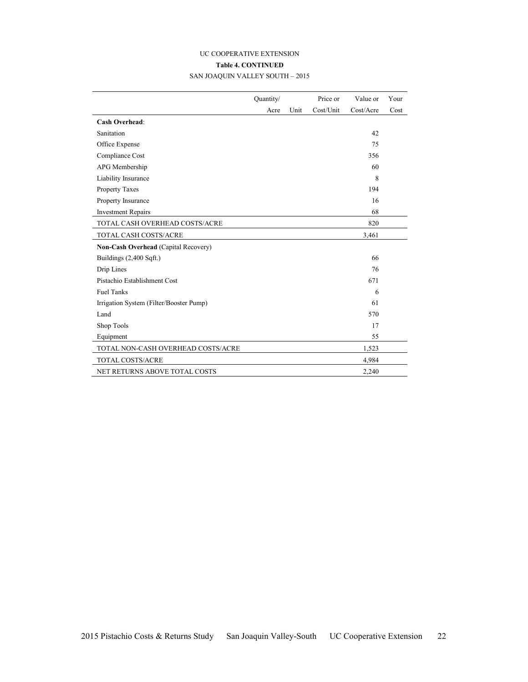# UC COOPERATIVE EXTENSION **Table 4. CONTINUED**

| SAN JOAQUIN VALLEY SOUTH - 2015 |  |
|---------------------------------|--|
|---------------------------------|--|

|                                         | Quantity/ |      | Price or  | Value or  | Your |
|-----------------------------------------|-----------|------|-----------|-----------|------|
|                                         | Acre      | Unit | Cost/Unit | Cost/Acre | Cost |
| <b>Cash Overhead:</b>                   |           |      |           |           |      |
| Sanitation                              |           |      |           | 42        |      |
| Office Expense                          |           |      |           | 75        |      |
| Compliance Cost                         |           |      |           | 356       |      |
| APG Membership                          |           |      |           | 60        |      |
| Liability Insurance                     |           |      |           | 8         |      |
| <b>Property Taxes</b>                   |           |      |           | 194       |      |
| Property Insurance                      |           |      |           | 16        |      |
| <b>Investment Repairs</b>               |           |      |           | 68        |      |
| TOTAL CASH OVERHEAD COSTS/ACRE          |           |      |           | 820       |      |
| TOTAL CASH COSTS/ACRE                   |           |      |           | 3,461     |      |
| Non-Cash Overhead (Capital Recovery)    |           |      |           |           |      |
| Buildings (2,400 Sqft.)                 |           |      |           | 66        |      |
| Drip Lines                              |           |      |           | 76        |      |
| Pistachio Establishment Cost            |           |      |           | 671       |      |
| <b>Fuel Tanks</b>                       |           |      |           | 6         |      |
| Irrigation System (Filter/Booster Pump) |           |      |           | 61        |      |
| Land                                    |           |      |           | 570       |      |
| Shop Tools                              |           |      |           | 17        |      |
| Equipment                               |           |      |           | 55        |      |
| TOTAL NON-CASH OVERHEAD COSTS/ACRE      |           |      |           | 1,523     |      |
| TOTAL COSTS/ACRE                        |           |      |           | 4,984     |      |
| NET RETURNS ABOVE TOTAL COSTS           |           |      |           | 2,240     |      |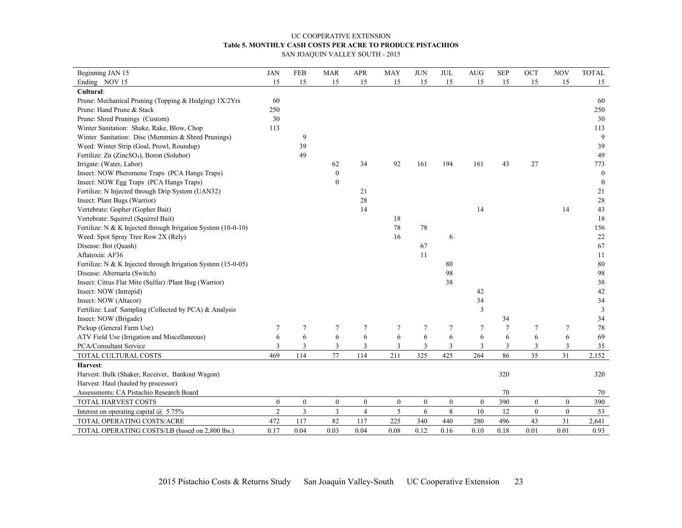#### UC COOPERATIVE EXTENSION **Table 5. MONTHLY CASH COSTS PER ACRE TO PRODUCE PISTACHIOS** SAN JOAQUIN VALLEY SOUTH - 2015

| Beginning JAN 15                                              | <b>JAN</b>       | <b>FEB</b>       | <b>MAR</b>              | <b>APR</b>       | <b>MAY</b>       | <b>JUN</b>       | <b>JUL</b>       | AUG              | <b>SEP</b>       | OCT              | <b>NOV</b>       | <b>TOTAL</b>     |
|---------------------------------------------------------------|------------------|------------------|-------------------------|------------------|------------------|------------------|------------------|------------------|------------------|------------------|------------------|------------------|
| Ending NOV 15                                                 | 15               | 15               | 15                      | 15               | 15               | 15               | 15               | 15               | 15               | 15               | 15               | 15               |
| Cultural:                                                     |                  |                  |                         |                  |                  |                  |                  |                  |                  |                  |                  |                  |
| Prune: Mechanical Pruning (Topping & Hedging) 1X/2Yrs         | 60               |                  |                         |                  |                  |                  |                  |                  |                  |                  |                  | 60               |
| Prune: Hand Prune & Stack                                     | 250              |                  |                         |                  |                  |                  |                  |                  |                  |                  |                  | 250              |
| Prune: Shred Prunings (Custom)                                | 30               |                  |                         |                  |                  |                  |                  |                  |                  |                  |                  | 30               |
| Winter Sanitation: Shake, Rake, Blow, Chop                    | 113              |                  |                         |                  |                  |                  |                  |                  |                  |                  |                  | 113              |
| Winter Sanitation: Disc (Mummies & Shred Prunings)            |                  | 9                |                         |                  |                  |                  |                  |                  |                  |                  |                  | 9                |
| Weed: Winter Strip (Goal, Prowl, Roundup)                     |                  | 39               |                         |                  |                  |                  |                  |                  |                  |                  |                  | 39               |
| Fertilize: Zn (ZincSO <sub>4</sub> ), Boron (Solubor)         |                  | 49               |                         |                  |                  |                  |                  |                  |                  |                  |                  | 49               |
| Irrigate: (Water, Labor)                                      |                  |                  | 62                      | 34               | 92               | 161              | 194              | 161              | 43               | 27               |                  | 773              |
| Insect: NOW Pheromone Traps (PCA Hangs Traps)                 |                  |                  | $\mathbf{0}$            |                  |                  |                  |                  |                  |                  |                  |                  | $\overline{0}$   |
| Insect: NOW Egg Traps (PCA Hangs Traps)                       |                  |                  | $\mathbf{0}$            |                  |                  |                  |                  |                  |                  |                  |                  | $\boldsymbol{0}$ |
| Fertilize: N Injected through Drip System (UAN32)             |                  |                  |                         | 21               |                  |                  |                  |                  |                  |                  |                  | 21               |
| Insect: Plant Bugs (Warrior)                                  |                  |                  |                         | 28               |                  |                  |                  |                  |                  |                  |                  | 28               |
| Vertebrate: Gopher (Gopher Bait)                              |                  |                  |                         | 14               |                  |                  |                  | 14               |                  |                  | 14               | 43               |
| Vertebrate: Squirrel (Squirrel Bait)                          |                  |                  |                         |                  | 18               |                  |                  |                  |                  |                  |                  | 18               |
| Fertilize: N & K Injected through Irrigation System (10-0-10) |                  |                  |                         |                  | 78               | 78               |                  |                  |                  |                  |                  | 156              |
| Weed: Spot Spray Tree Row 2X (Rely)                           |                  |                  |                         |                  | 16               |                  | 6                |                  |                  |                  |                  | 22               |
| Disease: Bot (Quash)                                          |                  |                  |                         |                  |                  | 67               |                  |                  |                  |                  |                  | 67               |
| Aflatoxin: AF36                                               |                  |                  |                         |                  |                  | 11               |                  |                  |                  |                  |                  | 11               |
| Fertilize: N & K Injected through Irrigation System (15-0-05) |                  |                  |                         |                  |                  |                  | 80               |                  |                  |                  |                  | 80               |
| Disease: Alternaria (Switch)                                  |                  |                  |                         |                  |                  |                  | 98               |                  |                  |                  |                  | 98               |
| Insect: Citrus Flat Mite (Sulfur) /Plant Bug (Warrior)        |                  |                  |                         |                  |                  |                  | 38               |                  |                  |                  |                  | 38               |
| Insect: NOW (Intrepid)                                        |                  |                  |                         |                  |                  |                  |                  | 42               |                  |                  |                  | 42               |
| Insect: NOW (Altacor)                                         |                  |                  |                         |                  |                  |                  |                  | 34               |                  |                  |                  | 34               |
| Fertilize: Leaf Sampling (Collected by PCA) & Analysis        |                  |                  |                         |                  |                  |                  |                  | 3                |                  |                  |                  | 3                |
| Insect: NOW (Brigade)                                         |                  |                  |                         |                  |                  |                  |                  |                  | 34               |                  |                  | 34               |
| Pickup (General Farm Use)                                     | 7                | $\tau$           | $\tau$                  | $\tau$           | 7                | 7                | $\tau$           | $\tau$           | $\boldsymbol{7}$ | $\tau$           | 7                | 78               |
| ATV Field Use (Irrigation and Miscellaneous)                  | 6                | $\sqrt{6}$       | 6                       | $\sqrt{6}$       | 6                | 6                | $\sqrt{6}$       | 6                | $\sqrt{6}$       | $\boldsymbol{6}$ | 6                | 69               |
| PCA/Consultant Service                                        | 3                | $\overline{3}$   | 3                       | 3                | 3                | 3                | 3                | 3                | 3                | 3                | 3                | 35               |
| TOTAL CULTURAL COSTS                                          | 469              | 114              | 77                      | 114              | 211              | 325              | 425              | 264              | 86               | 35               | 31               | 2,152            |
| Harvest:                                                      |                  |                  |                         |                  |                  |                  |                  |                  |                  |                  |                  |                  |
| Harvest: Bulk (Shaker, Receiver, Bankout Wagon)               |                  |                  |                         |                  |                  |                  |                  |                  | 320              |                  |                  | 320              |
| Harvest: Haul (hauled by processor)                           |                  |                  |                         |                  |                  |                  |                  |                  |                  |                  |                  |                  |
| Assessments: CA Pistachio Research Board                      |                  |                  |                         |                  |                  |                  |                  |                  | 70               |                  |                  | 70               |
| TOTAL HARVEST COSTS                                           | $\boldsymbol{0}$ | $\boldsymbol{0}$ | $\boldsymbol{0}$        | $\boldsymbol{0}$ | $\boldsymbol{0}$ | $\boldsymbol{0}$ | $\boldsymbol{0}$ | $\boldsymbol{0}$ | 390              | $\boldsymbol{0}$ | $\boldsymbol{0}$ | 390              |
| Interest on operating capital $@$ 5.75%                       | $\overline{2}$   | $\overline{3}$   | $\overline{\mathbf{3}}$ | $\overline{4}$   | 5                | 6                | 8                | $10\,$           | 12               | $\boldsymbol{0}$ | $\boldsymbol{0}$ | 53               |
| TOTAL OPERATING COSTS/ACRE                                    | 472              | 117              | 82                      | 117              | 225              | 340              | 440              | 280              | 496              | 43               | 31               | 2,641            |
| TOTAL OPERATING COSTS/LB (based on 2,800 lbs.)                | 0.17             | 0.04             | 0.03                    | 0.04             | 0.08             | 0.12             | 0.16             | 0.10             | 0.18             | 0.01             | 0.01             | 0.93             |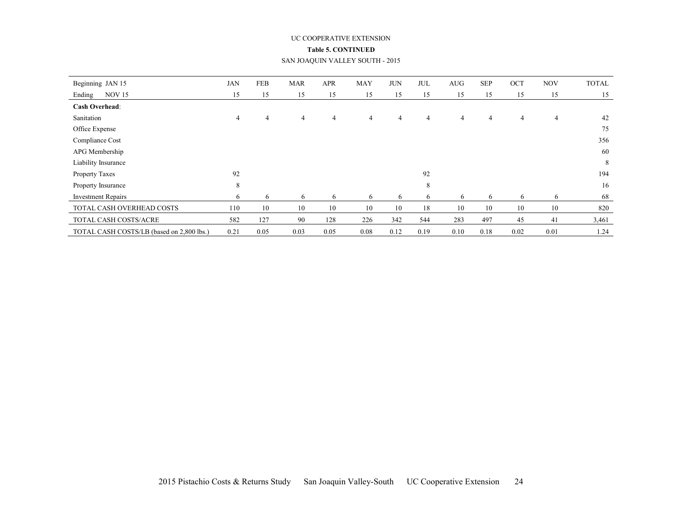#### UC COOPERATIVE EXTENSION

#### **Table 5. CONTINUED**

#### SAN JOAQUIN VALLEY SOUTH - 2015

| Beginning JAN 15                          | <b>JAN</b> | <b>FEB</b> | <b>MAR</b> | <b>APR</b> | <b>MAY</b>     | <b>JUN</b> | <b>JUL</b>     | <b>AUG</b> | <b>SEP</b>     | OCT  | <b>NOV</b>     | <b>TOTAL</b> |
|-------------------------------------------|------------|------------|------------|------------|----------------|------------|----------------|------------|----------------|------|----------------|--------------|
| <b>NOV 15</b><br>Ending                   | 15         | 15         | 15         | 15         | 15             | 15         | 15             | 15         | 15             | 15   | 15             | 15           |
| <b>Cash Overhead:</b>                     |            |            |            |            |                |            |                |            |                |      |                |              |
| Sanitation                                | 4          | 4          | 4          | 4          | $\overline{4}$ | 4          | $\overline{4}$ | 4          | $\overline{4}$ | 4    | $\overline{4}$ | 42           |
| Office Expense                            |            |            |            |            |                |            |                |            |                |      |                | 75           |
| Compliance Cost                           |            |            |            |            |                |            |                |            |                |      |                | 356          |
| APG Membership                            |            |            |            |            |                |            |                |            |                |      |                | 60           |
| Liability Insurance                       |            |            |            |            |                |            |                |            |                |      |                | 8            |
| Property Taxes                            | 92         |            |            |            |                |            | 92             |            |                |      |                | 194          |
| Property Insurance                        | 8          |            |            |            |                |            | 8              |            |                |      |                | 16           |
| <b>Investment Repairs</b>                 | 6          | 6          | 6          | 6          | 6              | 6          | 6              | 6          | 6              | 6    | 6              | 68           |
| TOTAL CASH OVERHEAD COSTS                 | 110        | 10         | 10         | 10         | 10             | 10         | 18             | 10         | 10             | 10   | 10             | 820          |
| TOTAL CASH COSTS/ACRE                     | 582        | 127        | 90         | 128        | 226            | 342        | 544            | 283        | 497            | 45   | 41             | 3,461        |
| TOTAL CASH COSTS/LB (based on 2,800 lbs.) | 0.21       | 0.05       | 0.03       | 0.05       | 0.08           | 0.12       | 0.19           | 0.10       | 0.18           | 0.02 | 0.01           | 1.24         |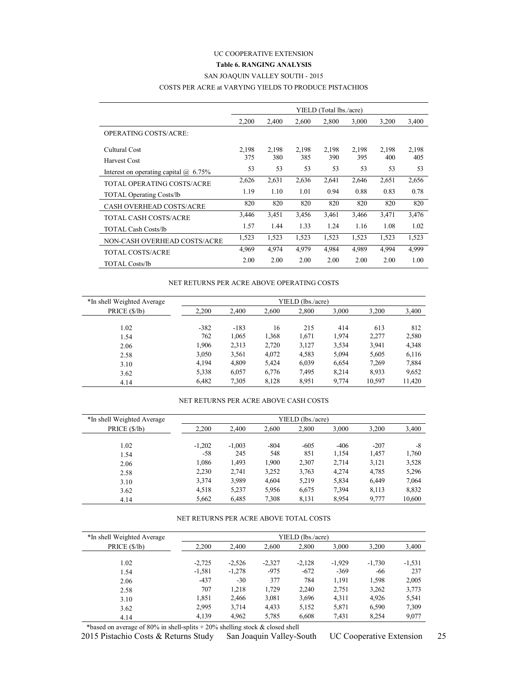### UC COOPERATIVE EXTENSION **Table 6. RANGING ANALYSIS** SAN JOAQUIN VALLEY SOUTH - 2015

#### COSTS PER ACRE at VARYING YIELDS TO PRODUCE PISTACHIOS

|                                           |       |       |       | YIELD (Total lbs./acre) |       |       |       |
|-------------------------------------------|-------|-------|-------|-------------------------|-------|-------|-------|
|                                           | 2,200 | 2,400 | 2,600 | 2.800                   | 3,000 | 3,200 | 3,400 |
| <b>OPERATING COSTS/ACRE:</b>              |       |       |       |                         |       |       |       |
| Cultural Cost                             | 2,198 | 2,198 | 2,198 | 2,198                   | 2.198 | 2,198 | 2,198 |
| Harvest Cost                              | 375   | 380   | 385   | 390                     | 395   | 400   | 405   |
| Interest on operating capital $(a)$ 6.75% | 53    | 53    | 53    | 53                      | 53    | 53    | 53    |
| <b>TOTAL OPERATING COSTS/ACRE</b>         | 2,626 | 2,631 | 2,636 | 2,641                   | 2,646 | 2,651 | 2,656 |
| <b>TOTAL Operating Costs/lb</b>           | 1.19  | 1.10  | 1.01  | 0.94                    | 0.88  | 0.83  | 0.78  |
| <b>CASH OVERHEAD COSTS/ACRE</b>           | 820   | 820   | 820   | 820                     | 820   | 820   | 820   |
| TOTAL CASH COSTS/ACRE                     | 3,446 | 3,451 | 3,456 | 3,461                   | 3,466 | 3.471 | 3,476 |
| <b>TOTAL Cash Costs/lb</b>                | 1.57  | 1.44  | 1.33  | 1.24                    | 1.16  | 1.08  | 1.02  |
| NON-CASH OVERHEAD COSTS/ACRE              | 1,523 | 1,523 | 1,523 | 1,523                   | 1,523 | 1,523 | 1,523 |
| <b>TOTAL COSTS/ACRE</b>                   | 4,969 | 4,974 | 4,979 | 4,984                   | 4,989 | 4,994 | 4,999 |
| <b>TOTAL Costs/lb</b>                     | 2.00  | 2.00  | 2.00  | 2.00                    | 2.00  | 2.00  | 1.00  |

#### NET RETURNS PER ACRE ABOVE OPERATING COSTS

| *In shell Weighted Average | YIELD (lbs./acre) |        |       |       |       |        |        |  |  |  |  |  |
|----------------------------|-------------------|--------|-------|-------|-------|--------|--------|--|--|--|--|--|
| PRICE (\$/lb)              | 2.200             | 2,400  | 2,600 | 2,800 | 3,000 | 3,200  | 3,400  |  |  |  |  |  |
| 1.02                       | $-382$            | $-183$ | 16    | 215   | 414   | 613    | 812    |  |  |  |  |  |
| 1.54                       | 762               | 1,065  | 1,368 | 1,671 | 1,974 | 2,277  | 2,580  |  |  |  |  |  |
| 2.06                       | 1,906             | 2,313  | 2,720 | 3,127 | 3,534 | 3,941  | 4,348  |  |  |  |  |  |
| 2.58                       | 3,050             | 3,561  | 4,072 | 4,583 | 5,094 | 5,605  | 6,116  |  |  |  |  |  |
| 3.10                       | 4.194             | 4,809  | 5,424 | 6,039 | 6,654 | 7,269  | 7,884  |  |  |  |  |  |
| 3.62                       | 5,338             | 6,057  | 6,776 | 7,495 | 8,214 | 8,933  | 9,652  |  |  |  |  |  |
| 4.14                       | 6,482             | 7,305  | 8,128 | 8,951 | 9,774 | 10,597 | 11,420 |  |  |  |  |  |

#### NET RETURNS PER ACRE ABOVE CASH COSTS

| *In shell Weighted Average | YIELD (lbs./acre) |          |        |        |        |        |        |  |  |  |  |  |
|----------------------------|-------------------|----------|--------|--------|--------|--------|--------|--|--|--|--|--|
| PRICE (\$/lb)              | 2.200             | 2.400    | 2,600  | 2,800  | 3,000  | 3,200  | 3,400  |  |  |  |  |  |
| 1.02                       | $-1,202$          | $-1,003$ | $-804$ | $-605$ | $-406$ | $-207$ | -8     |  |  |  |  |  |
| 1.54                       | -58               | 245      | 548    | 851    | 1,154  | 1,457  | 1,760  |  |  |  |  |  |
| 2.06                       | 1,086             | 1,493    | 1,900  | 2,307  | 2,714  | 3,121  | 3,528  |  |  |  |  |  |
| 2.58                       | 2,230             | 2,741    | 3,252  | 3,763  | 4,274  | 4,785  | 5,296  |  |  |  |  |  |
| 3.10                       | 3,374             | 3.989    | 4,604  | 5,219  | 5,834  | 6,449  | 7,064  |  |  |  |  |  |
| 3.62                       | 4,518             | 5,237    | 5,956  | 6,675  | 7,394  | 8,113  | 8,832  |  |  |  |  |  |
| 4.14                       | 5,662             | 6,485    | 7,308  | 8,131  | 8,954  | 9,777  | 10,600 |  |  |  |  |  |

#### NET RETURNS PER ACRE ABOVE TOTAL COSTS

| *In shell Weighted Average | YIELD (lbs./acre) |          |          |          |          |          |          |  |  |
|----------------------------|-------------------|----------|----------|----------|----------|----------|----------|--|--|
| PRICE $(\frac{5}{lb})$     | 2.200             | 2.400    | 2.600    | 2.800    | 3.000    | 3.200    | 3,400    |  |  |
| 1.02                       | $-2,725$          | $-2,526$ | $-2,327$ | $-2,128$ | $-1,929$ | $-1,730$ | $-1,531$ |  |  |
| 1.54                       | $-1,581$          | $-1,278$ | $-975$   | $-672$   | $-369$   | -66      | 237      |  |  |
| 2.06                       | $-437$            | $-30$    | 377      | 784      | 1,191    | 1,598    | 2,005    |  |  |
| 2.58                       | 707               | 1,218    | 1,729    | 2,240    | 2,751    | 3,262    | 3,773    |  |  |
| 3.10                       | 1,851             | 2,466    | 3,081    | 3,696    | 4,311    | 4,926    | 5,541    |  |  |
| 3.62                       | 2,995             | 3,714    | 4,433    | 5,152    | 5,871    | 6,590    | 7,309    |  |  |
| 4.14                       | 4,139             | 4,962    | 5,785    | 6,608    | 7.431    | 8,254    | 9,077    |  |  |

\*based on average of 80% in shell-splits  $+20%$  shelling stock & closed shell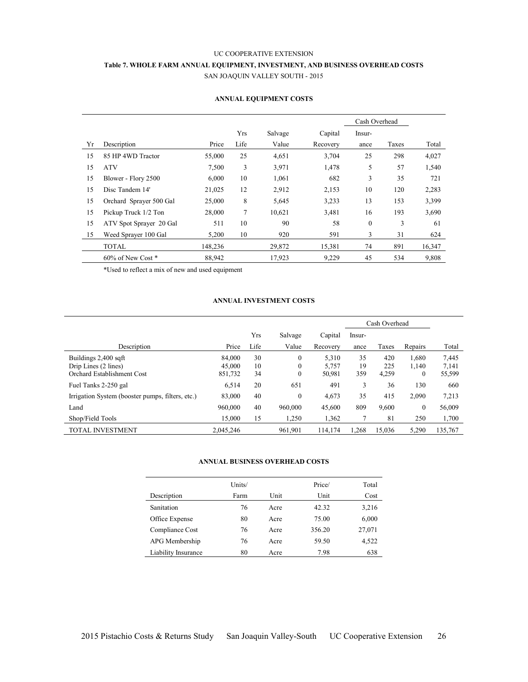# UC COOPERATIVE EXTENSION **Table 7. WHOLE FARM ANNUAL EQUIPMENT, INVESTMENT, AND BUSINESS OVERHEAD COSTS** SAN JOAQUIN VALLEY SOUTH - 2015

|    |                         |         |      |         |          | Cash Overhead |       |        |
|----|-------------------------|---------|------|---------|----------|---------------|-------|--------|
|    |                         |         | Yrs  | Salvage | Capital  | Insur-        |       |        |
| Yr | Description             | Price   | Life | Value   | Recovery | ance          | Taxes | Total  |
| 15 | 85 HP 4WD Tractor       | 55,000  | 25   | 4,651   | 3,704    | 25            | 298   | 4,027  |
| 15 | <b>ATV</b>              | 7,500   | 3    | 3,971   | 1,478    | 5             | 57    | 1,540  |
| 15 | Blower - Flory 2500     | 6,000   | 10   | 1,061   | 682      | 3             | 35    | 721    |
| 15 | Disc Tandem 14'         | 21,025  | 12   | 2,912   | 2,153    | 10            | 120   | 2,283  |
| 15 | Orchard Sprayer 500 Gal | 25,000  | 8    | 5,645   | 3,233    | 13            | 153   | 3,399  |
| 15 | Pickup Truck 1/2 Ton    | 28,000  | 7    | 10,621  | 3,481    | 16            | 193   | 3,690  |
| 15 | ATV Spot Sprayer 20 Gal | 511     | 10   | 90      | 58       | $\theta$      | 3     | 61     |
| 15 | Weed Sprayer 100 Gal    | 5,200   | 10   | 920     | 591      | 3             | 31    | 624    |
|    | <b>TOTAL</b>            | 148,236 |      | 29,872  | 15,381   | 74            | 891   | 16,347 |
|    | $60\%$ of New Cost $*$  | 88,942  |      | 17,923  | 9,229    | 45            | 534   | 9,808  |

#### **ANNUAL EQUIPMENT COSTS**

\*Used to reflect a mix of new and used equipment

#### **ANNUAL INVESTMENT COSTS**

|                                                  |           |      |                  |          | Cash Overhead |        |                  |         |
|--------------------------------------------------|-----------|------|------------------|----------|---------------|--------|------------------|---------|
|                                                  |           | Yrs  | Salvage          | Capital  | Insur-        |        |                  |         |
| Description                                      | Price     | Life | Value            | Recovery | ance          | Taxes  | Repairs          | Total   |
| Buildings 2,400 sqft                             | 84.000    | 30   | $\mathbf{0}$     | 5,310    | 35            | 420    | 1,680            | 7,445   |
| Drip Lines (2 lines)                             | 45,000    | 10   | $\boldsymbol{0}$ | 5,757    | 19            | 225    | 1,140            | 7,141   |
| Orchard Establishment Cost                       | 851,732   | 34   | $\mathbf{0}$     | 50,981   | 359           | 4,259  | $\boldsymbol{0}$ | 55,599  |
| Fuel Tanks 2-250 gal                             | 6,514     | 20   | 651              | 491      | 3             | 36     | 130              | 660     |
| Irrigation System (booster pumps, filters, etc.) | 83,000    | 40   | $\boldsymbol{0}$ | 4,673    | 35            | 415    | 2,090            | 7,213   |
| Land                                             | 960,000   | 40   | 960,000          | 45,600   | 809           | 9,600  | 0                | 56,009  |
| Shop/Field Tools                                 | 15,000    | 15   | 1,250            | 1,362    |               | 81     | 250              | 1,700   |
| <b>TOTAL INVESTMENT</b>                          | 2,045,246 |      | 961,901          | 114,174  | 1,268         | 15,036 | 5,290            | 135,767 |

#### **ANNUAL BUSINESS OVERHEAD COSTS**

|                     | Units/ |      | Price/ | Total  |
|---------------------|--------|------|--------|--------|
| Description         | Farm   | Unit | Unit   | Cost   |
| Sanitation          | 76     | Acre | 42.32  | 3,216  |
| Office Expense      | 80     | Acre | 75.00  | 6,000  |
| Compliance Cost     | 76     | Acre | 356.20 | 27,071 |
| APG Membership      | 76     | Acre | 59.50  | 4,522  |
| Liability Insurance | 80     | Acre | 7.98   | 638    |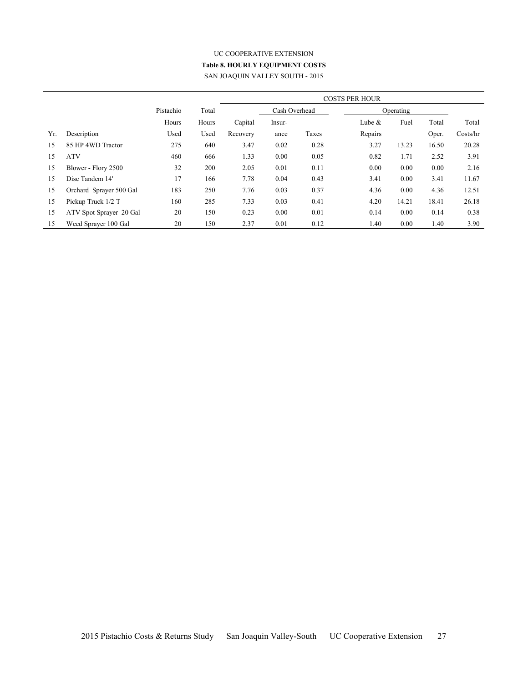# UC COOPERATIVE EXTENSION **Table 8. HOURLY EQUIPMENT COSTS** SAN JOAQUIN VALLEY SOUTH - 2015

|     |                         |           |       | <b>COSTS PER HOUR</b> |               |       |          |           |       |          |
|-----|-------------------------|-----------|-------|-----------------------|---------------|-------|----------|-----------|-------|----------|
|     |                         | Pistachio | Total |                       | Cash Overhead |       |          | Operating |       |          |
|     |                         | Hours     | Hours | Capital               | Insur-        |       | Lube $&$ | Fuel      | Total | Total    |
| Yr. | Description             | Used      | Used  | Recovery              | ance          | Taxes | Repairs  |           | Oper. | Costs/hr |
| 15  | 85 HP 4WD Tractor       | 275       | 640   | 3.47                  | 0.02          | 0.28  | 3.27     | 13.23     | 16.50 | 20.28    |
| 15  | <b>ATV</b>              | 460       | 666   | 1.33                  | 0.00          | 0.05  | 0.82     | 1.71      | 2.52  | 3.91     |
| 15  | Blower - Flory 2500     | 32        | 200   | 2.05                  | 0.01          | 0.11  | 0.00     | 0.00      | 0.00  | 2.16     |
| 15  | Disc Tandem 14'         | 17        | 166   | 7.78                  | 0.04          | 0.43  | 3.41     | 0.00      | 3.41  | 11.67    |
| 15  | Orchard Sprayer 500 Gal | 183       | 250   | 7.76                  | 0.03          | 0.37  | 4.36     | 0.00      | 4.36  | 12.51    |
| 15  | Pickup Truck 1/2 T      | 160       | 285   | 7.33                  | 0.03          | 0.41  | 4.20     | 14.21     | 18.41 | 26.18    |
| 15  | ATV Spot Sprayer 20 Gal | 20        | 150   | 0.23                  | 0.00          | 0.01  | 0.14     | 0.00      | 0.14  | 0.38     |
| 15  | Weed Sprayer 100 Gal    | 20        | 150   | 2.37                  | 0.01          | 0.12  | 1.40     | 0.00      | 1.40  | 3.90     |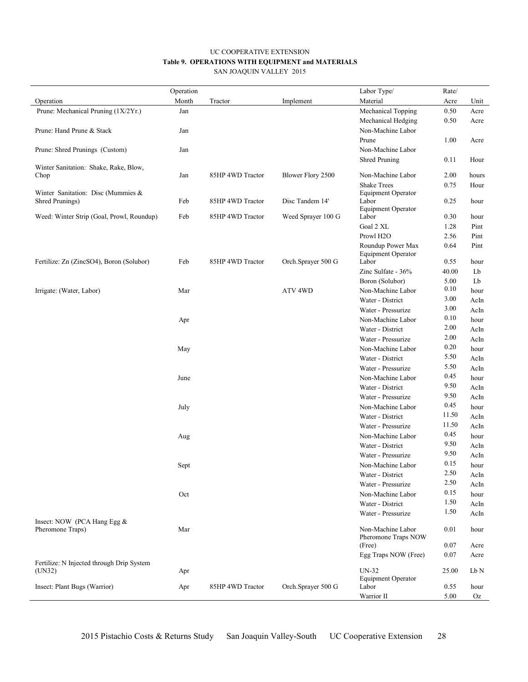#### UC COOPERATIVE EXTENSION **Table 9. OPERATIONS WITH EQUIPMENT and MATERIALS** SAN JOAQUIN VALLEY 2015

|                                           | Operation |                  |                    | Labor Type/                        | Rate/ |       |
|-------------------------------------------|-----------|------------------|--------------------|------------------------------------|-------|-------|
| Operation                                 | Month     | Tractor          | Implement          | Material                           | Acre  | Unit  |
| Prune: Mechanical Pruning (1X/2Yr.)       | Jan       |                  |                    | Mechanical Topping                 | 0.50  | Acre  |
|                                           |           |                  |                    | Mechanical Hedging                 | 0.50  | Acre  |
| Prune: Hand Prune & Stack                 | Jan       |                  |                    | Non-Machine Labor                  |       |       |
|                                           |           |                  |                    | Prune                              | 1.00  | Acre  |
| Prune: Shred Prunings (Custom)            | Jan       |                  |                    | Non-Machine Labor                  |       |       |
|                                           |           |                  |                    | <b>Shred Pruning</b>               | 0.11  | Hour  |
| Winter Sanitation: Shake, Rake, Blow,     |           |                  |                    |                                    |       |       |
| Chop                                      | Jan       | 85HP 4WD Tractor | Blower Flory 2500  | Non-Machine Labor                  | 2.00  | hours |
|                                           |           |                  |                    | <b>Shake Trees</b>                 | 0.75  | Hour  |
| Winter Sanitation: Disc (Mummies &        |           | 85HP 4WD Tractor | Disc Tandem 14'    | <b>Equipment Operator</b><br>Labor | 0.25  |       |
| Shred Prunings)                           | Feb       |                  |                    | <b>Equipment Operator</b>          |       | hour  |
| Weed: Winter Strip (Goal, Prowl, Roundup) | Feb       | 85HP 4WD Tractor | Weed Sprayer 100 G | Labor                              | 0.30  | hour  |
|                                           |           |                  |                    | Goal 2 XL                          | 1.28  | Pint  |
|                                           |           |                  |                    | Prowl H <sub>2O</sub>              | 2.56  | Pint  |
|                                           |           |                  |                    | Roundup Power Max                  | 0.64  | Pint  |
|                                           |           |                  |                    | <b>Equipment Operator</b>          |       |       |
| Fertilize: Zn (ZincSO4), Boron (Solubor)  | Feb       | 85HP 4WD Tractor | Orch.Sprayer 500 G | Labor                              | 0.55  | hour  |
|                                           |           |                  |                    | Zinc Sulfate - 36%                 | 40.00 | Lb    |
|                                           |           |                  |                    | Boron (Solubor)                    | 5.00  | Lb    |
| Irrigate: (Water, Labor)                  | Mar       |                  | ATV <sub>4WD</sub> | Non-Machine Labor                  | 0.10  | hour  |
|                                           |           |                  |                    | Water - District                   | 3.00  | AcIn  |
|                                           |           |                  |                    | Water - Pressurize                 | 3.00  | AcIn  |
|                                           | Apr       |                  |                    | Non-Machine Labor                  | 0.10  | hour  |
|                                           |           |                  |                    | Water - District                   | 2.00  | AcIn  |
|                                           |           |                  |                    | Water - Pressurize                 | 2.00  | AcIn  |
|                                           | May       |                  |                    | Non-Machine Labor                  | 0.20  | hour  |
|                                           |           |                  |                    | Water - District                   | 5.50  | AcIn  |
|                                           |           |                  |                    | Water - Pressurize                 | 5.50  | AcIn  |
|                                           | June      |                  |                    | Non-Machine Labor                  | 0.45  | hour  |
|                                           |           |                  |                    | Water - District                   | 9.50  | AcIn  |
|                                           |           |                  |                    | Water - Pressurize                 | 9.50  | AcIn  |
|                                           | July      |                  |                    | Non-Machine Labor                  | 0.45  | hour  |
|                                           |           |                  |                    | Water - District                   | 11.50 | AcIn  |
|                                           |           |                  |                    | Water - Pressurize                 | 11.50 | AcIn  |
|                                           | Aug       |                  |                    | Non-Machine Labor                  | 0.45  | hour  |
|                                           |           |                  |                    | Water - District                   | 9.50  | AcIn  |
|                                           |           |                  |                    | Water - Pressurize                 | 9.50  | AcIn  |
|                                           | Sept      |                  |                    | Non-Machine Labor                  | 0.15  | hour  |
|                                           |           |                  |                    | Water - District                   | 2.50  | AcIn  |
|                                           |           |                  |                    | Water - Pressurize                 | 2.50  | AcIn  |
|                                           | Oct       |                  |                    | Non-Machine Labor                  | 0.15  | hour  |
|                                           |           |                  |                    | Water - District                   | 1.50  | AcIn  |
|                                           |           |                  |                    | Water - Pressurize                 | 1.50  | AcIn  |
| Insect: NOW (PCA Hang Egg &               |           |                  |                    |                                    |       |       |
| Pheromone Traps)                          | Mar       |                  |                    | Non-Machine Labor                  | 0.01  | hour  |
|                                           |           |                  |                    | Pheromone Traps NOW                |       |       |
|                                           |           |                  |                    | (Free)                             | 0.07  | Acre  |
| Fertilize: N Injected through Drip System |           |                  |                    | Egg Traps NOW (Free)               | 0.07  | Acre  |
| (UN32)                                    | Apr       |                  |                    | $UN-32$                            | 25.00 | Lb N  |
|                                           |           |                  |                    | <b>Equipment Operator</b>          |       |       |
| Insect: Plant Bugs (Warrior)              | Apr       | 85HP 4WD Tractor | Orch.Sprayer 500 G | Labor                              | 0.55  | hour  |
|                                           |           |                  |                    | Warrior II                         | 5.00  | Oz    |